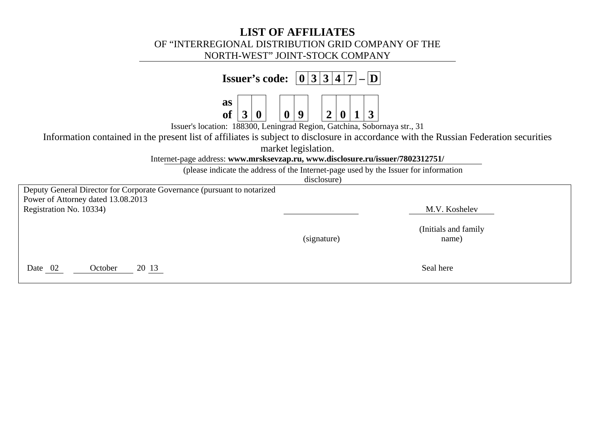## **LIST OF AFFILIATES**  OF "INTERREGIONAL DISTRIBUTION GRID COMPANY OF THE NORTH-WEST" JOINT-STOCK COMPANY

| Issuer's code:                                                                                                                                                                                                                                                                                                       | $ 0 3 3 4 7 $ - $ D $                                                                |  |  |  |  |  |
|----------------------------------------------------------------------------------------------------------------------------------------------------------------------------------------------------------------------------------------------------------------------------------------------------------------------|--------------------------------------------------------------------------------------|--|--|--|--|--|
| as<br>3<br><b>of</b><br>$\overline{2}$<br>$\mathbf{3}$<br><b>Q</b><br>0<br>Issuer's location: 188300, Leningrad Region, Gatchina, Sobornaya str., 31<br>Information contained in the present list of affiliates is subject to disclosure in accordance with the Russian Federation securities<br>market legislation. |                                                                                      |  |  |  |  |  |
|                                                                                                                                                                                                                                                                                                                      | Internet-page address: www.mrsksevzap.ru, www.disclosure.ru/issuer/7802312751/       |  |  |  |  |  |
|                                                                                                                                                                                                                                                                                                                      | (please indicate the address of the Internet-page used by the Issuer for information |  |  |  |  |  |
|                                                                                                                                                                                                                                                                                                                      | disclosure)                                                                          |  |  |  |  |  |
| Deputy General Director for Corporate Governance (pursuant to notarized<br>Power of Attorney dated 13.08.2013                                                                                                                                                                                                        |                                                                                      |  |  |  |  |  |
| Registration No. 10334)                                                                                                                                                                                                                                                                                              | M.V. Koshelev                                                                        |  |  |  |  |  |
|                                                                                                                                                                                                                                                                                                                      | (Initials and family<br>(signature)<br>name)                                         |  |  |  |  |  |
| 20 13<br>Date 02<br>October                                                                                                                                                                                                                                                                                          | Seal here                                                                            |  |  |  |  |  |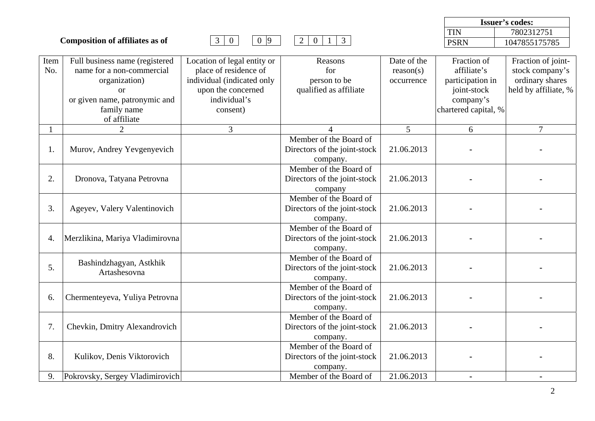**Composition of affiliates as of** 3 0 0 9 2 0 1 3



| Item | Full business name (registered  | Location of legal entity or | Reasons                      | Date of the | Fraction of          | Fraction of joint-   |
|------|---------------------------------|-----------------------------|------------------------------|-------------|----------------------|----------------------|
| No.  | name for a non-commercial       | place of residence of       | for                          | reason(s)   | affiliate's          | stock company's      |
|      | organization)                   | individual (indicated only  | person to be                 | occurrence  | participation in     | ordinary shares      |
|      | <b>or</b>                       | upon the concerned          | qualified as affiliate       |             | joint-stock          | held by affiliate, % |
|      | or given name, patronymic and   | individual's                |                              |             | company's            |                      |
|      | family name                     | consent)                    |                              |             | chartered capital, % |                      |
|      | of affiliate                    |                             |                              |             |                      |                      |
|      | $\overline{2}$                  | $\overline{3}$              |                              | 5           | 6                    | $\overline{7}$       |
|      |                                 |                             | Member of the Board of       |             |                      |                      |
| 1.   | Murov, Andrey Yevgenyevich      |                             | Directors of the joint-stock | 21.06.2013  |                      |                      |
|      |                                 |                             | company.                     |             |                      |                      |
|      |                                 |                             | Member of the Board of       |             |                      |                      |
| 2.   | Dronova, Tatyana Petrovna       |                             | Directors of the joint-stock | 21.06.2013  |                      |                      |
|      |                                 |                             | company                      |             |                      |                      |
|      |                                 |                             | Member of the Board of       |             |                      |                      |
| 3.   | Ageyev, Valery Valentinovich    |                             | Directors of the joint-stock | 21.06.2013  |                      |                      |
|      |                                 |                             | company.                     |             |                      |                      |
|      |                                 |                             | Member of the Board of       |             |                      |                      |
| 4.   | Merzlikina, Mariya Vladimirovna |                             | Directors of the joint-stock | 21.06.2013  |                      |                      |
|      |                                 |                             | company.                     |             |                      |                      |
|      | Bashindzhagyan, Astkhik         |                             | Member of the Board of       |             |                      |                      |
| 5.   | Artashesovna                    |                             | Directors of the joint-stock | 21.06.2013  |                      |                      |
|      |                                 |                             | company.                     |             |                      |                      |
|      |                                 |                             | Member of the Board of       |             |                      |                      |
| 6.   | Chermenteyeva, Yuliya Petrovna  |                             | Directors of the joint-stock | 21.06.2013  |                      |                      |
|      |                                 |                             | company.                     |             |                      |                      |
|      |                                 |                             | Member of the Board of       |             |                      |                      |
| 7.   | Chevkin, Dmitry Alexandrovich   |                             | Directors of the joint-stock | 21.06.2013  |                      |                      |
|      |                                 |                             | company.                     |             |                      |                      |
|      |                                 |                             | Member of the Board of       |             |                      |                      |
| 8.   | Kulikov, Denis Viktorovich      |                             | Directors of the joint-stock | 21.06.2013  |                      |                      |
|      |                                 |                             | company.                     |             |                      |                      |
| 9.   | Pokrovsky, Sergey Vladimirovich |                             | Member of the Board of       | 21.06.2013  |                      |                      |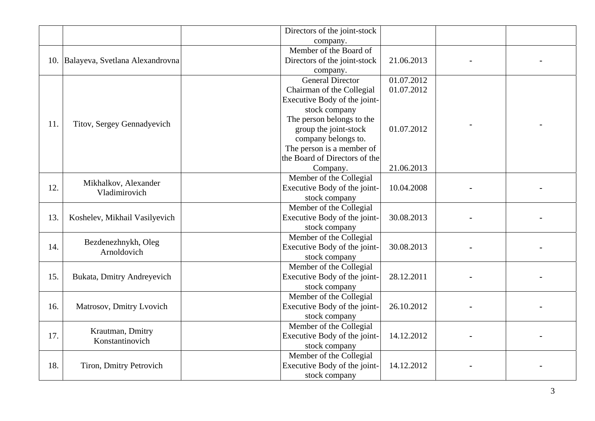|     |                                       | Directors of the joint-stock  |               |  |  |
|-----|---------------------------------------|-------------------------------|---------------|--|--|
|     |                                       | company.                      |               |  |  |
|     |                                       | Member of the Board of        |               |  |  |
|     | 10. Balayeva, Svetlana Alexandrovna   | Directors of the joint-stock  | 21.06.2013    |  |  |
|     |                                       | company.                      |               |  |  |
|     |                                       | <b>General Director</b>       | 01.07.2012    |  |  |
|     |                                       | Chairman of the Collegial     | 01.07.2012    |  |  |
|     |                                       | Executive Body of the joint-  |               |  |  |
|     |                                       | stock company                 |               |  |  |
|     |                                       | The person belongs to the     |               |  |  |
| 11. | Titov, Sergey Gennadyevich            | group the joint-stock         | 01.07.2012    |  |  |
|     |                                       | company belongs to.           |               |  |  |
|     |                                       | The person is a member of     |               |  |  |
|     |                                       | the Board of Directors of the |               |  |  |
|     |                                       | Company.                      | 21.06.2013    |  |  |
|     |                                       | Member of the Collegial       |               |  |  |
| 12. | Mikhalkov, Alexander<br>Vladimirovich | Executive Body of the joint-  | 10.04.2008    |  |  |
|     |                                       | stock company                 |               |  |  |
|     | Koshelev, Mikhail Vasilyevich         | Member of the Collegial       |               |  |  |
| 13. |                                       | Executive Body of the joint-  | 30.08.2013    |  |  |
|     |                                       | stock company                 |               |  |  |
|     |                                       | Member of the Collegial       |               |  |  |
| 14. | Bezdenezhnykh, Oleg                   | Executive Body of the joint-  | 30.08.2013    |  |  |
|     | Arnoldovich                           | stock company                 |               |  |  |
|     |                                       | Member of the Collegial       |               |  |  |
| 15. | Bukata, Dmitry Andreyevich            | Executive Body of the joint-  | 28.12.2011    |  |  |
|     |                                       | stock company                 |               |  |  |
|     |                                       | Member of the Collegial       |               |  |  |
| 16. | Matrosov, Dmitry Lvovich              | Executive Body of the joint-  | 26.10.2012    |  |  |
|     |                                       | stock company                 |               |  |  |
|     | Krautman, Dmitry                      | Member of the Collegial       |               |  |  |
| 17. | Konstantinovich                       | Executive Body of the joint-  | 14.12.2012    |  |  |
|     |                                       | stock company                 |               |  |  |
|     |                                       | Member of the Collegial       |               |  |  |
| 18. | Tiron, Dmitry Petrovich               | Executive Body of the joint-  | 14.12.2012    |  |  |
|     |                                       |                               | stock company |  |  |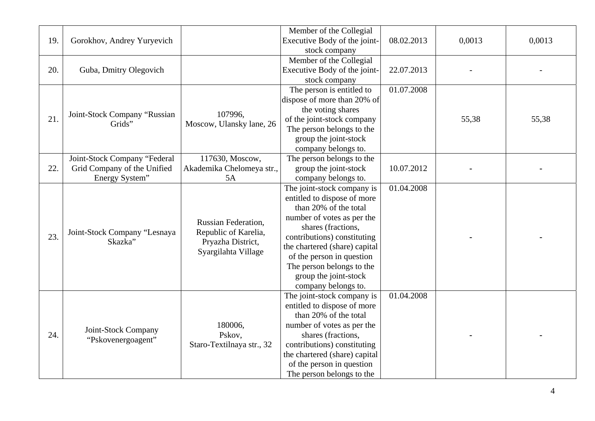|     |                              |                            | Member of the Collegial       |            |        |        |
|-----|------------------------------|----------------------------|-------------------------------|------------|--------|--------|
| 19. | Gorokhov, Andrey Yuryevich   |                            | Executive Body of the joint-  | 08.02.2013 | 0,0013 | 0,0013 |
|     |                              |                            | stock company                 |            |        |        |
|     |                              |                            | Member of the Collegial       |            |        |        |
| 20. | Guba, Dmitry Olegovich       |                            | Executive Body of the joint-  | 22.07.2013 |        |        |
|     |                              |                            | stock company                 |            |        |        |
|     |                              |                            | The person is entitled to     | 01.07.2008 |        |        |
|     |                              |                            | dispose of more than 20% of   |            |        |        |
|     | Joint-Stock Company "Russian | 107996,                    | the voting shares             |            |        |        |
| 21. | Grids"                       | Moscow, Ulansky lane, 26   | of the joint-stock company    |            | 55,38  | 55,38  |
|     |                              |                            | The person belongs to the     |            |        |        |
|     |                              |                            | group the joint-stock         |            |        |        |
|     |                              |                            | company belongs to.           |            |        |        |
|     | Joint-Stock Company "Federal | 117630, Moscow,            | The person belongs to the     |            |        |        |
| 22. | Grid Company of the Unified  | Akademika Chelomeya str.,  | group the joint-stock         | 10.07.2012 |        |        |
|     | Energy System"               | 5A                         | company belongs to.           |            |        |        |
|     |                              |                            | The joint-stock company is    | 01.04.2008 |        |        |
|     |                              |                            | entitled to dispose of more   |            |        |        |
|     |                              |                            | than 20% of the total         |            |        |        |
|     |                              | <b>Russian Federation,</b> | number of votes as per the    |            |        |        |
|     | Joint-Stock Company "Lesnaya | Republic of Karelia,       | shares (fractions,            |            |        |        |
| 23. | Skazka"                      | Pryazha District,          | contributions) constituting   |            |        |        |
|     |                              | Syargilahta Village        | the chartered (share) capital |            |        |        |
|     |                              |                            | of the person in question     |            |        |        |
|     |                              |                            | The person belongs to the     |            |        |        |
|     |                              |                            | group the joint-stock         |            |        |        |
|     |                              |                            | company belongs to.           |            |        |        |
|     |                              |                            | The joint-stock company is    | 01.04.2008 |        |        |
|     |                              |                            | entitled to dispose of more   |            |        |        |
|     |                              |                            | than 20% of the total         |            |        |        |
|     |                              | 180006,                    | number of votes as per the    |            |        |        |
| 24. | Joint-Stock Company          | Pskov,                     | shares (fractions,            |            |        |        |
|     | "Pskovenergoagent"           | Staro-Textilnaya str., 32  | contributions) constituting   |            |        |        |
|     |                              |                            | the chartered (share) capital |            |        |        |
|     |                              |                            | of the person in question     |            |        |        |
|     |                              |                            | The person belongs to the     |            |        |        |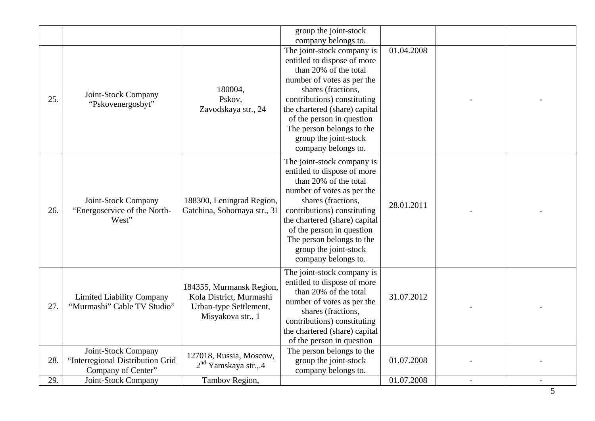|     |                                                                               |                                                                                                    | group the joint-stock<br>company belongs to.                                                                                                                                                                                                                                                                     |            |  |
|-----|-------------------------------------------------------------------------------|----------------------------------------------------------------------------------------------------|------------------------------------------------------------------------------------------------------------------------------------------------------------------------------------------------------------------------------------------------------------------------------------------------------------------|------------|--|
| 25. | Joint-Stock Company<br>"Pskovenergosbyt"                                      | 180004,<br>Pskov,<br>Zavodskaya str., 24                                                           | The joint-stock company is<br>entitled to dispose of more<br>than 20% of the total<br>number of votes as per the<br>shares (fractions,<br>contributions) constituting<br>the chartered (share) capital<br>of the person in question<br>The person belongs to the<br>group the joint-stock<br>company belongs to. | 01.04.2008 |  |
| 26. | Joint-Stock Company<br>"Energoservice of the North-<br>West"                  | 188300, Leningrad Region,<br>Gatchina, Sobornaya str., 31                                          | The joint-stock company is<br>entitled to dispose of more<br>than 20% of the total<br>number of votes as per the<br>shares (fractions,<br>contributions) constituting<br>the chartered (share) capital<br>of the person in question<br>The person belongs to the<br>group the joint-stock<br>company belongs to. | 28.01.2011 |  |
| 27. | <b>Limited Liability Company</b><br>"Murmashi" Cable TV Studio"               | 184355, Murmansk Region,<br>Kola District, Murmashi<br>Urban-type Settlement,<br>Misyakova str., 1 | The joint-stock company is<br>entitled to dispose of more<br>than 20% of the total<br>number of votes as per the<br>shares (fractions,<br>contributions) constituting<br>the chartered (share) capital<br>of the person in question                                                                              | 31.07.2012 |  |
| 28. | Joint-Stock Company<br>"Interregional Distribution Grid<br>Company of Center" | 127018, Russia, Moscow,<br>$2nd$ Yamskaya str.,.4                                                  | The person belongs to the<br>group the joint-stock<br>company belongs to.                                                                                                                                                                                                                                        | 01.07.2008 |  |
| 29. | Joint-Stock Company                                                           | Tambov Region,                                                                                     |                                                                                                                                                                                                                                                                                                                  | 01.07.2008 |  |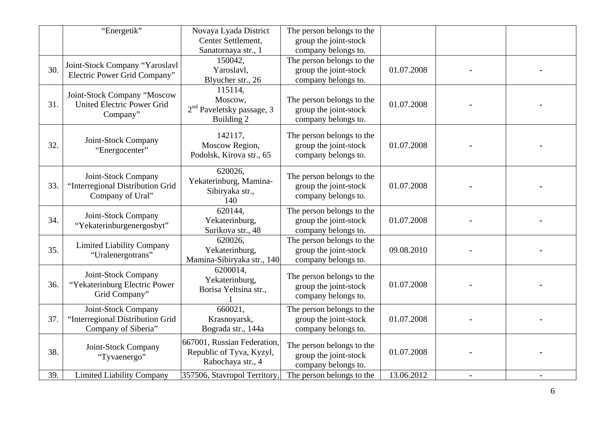|     | "Energetik"                                                                    | Novaya Lyada District<br>Center Settlement,                                  | The person belongs to the<br>group the joint-stock                        |            |  |
|-----|--------------------------------------------------------------------------------|------------------------------------------------------------------------------|---------------------------------------------------------------------------|------------|--|
|     |                                                                                | Sanatornaya str., 1                                                          | company belongs to.                                                       |            |  |
| 30. | Joint-Stock Company "Yaroslavl<br>Electric Power Grid Company"                 | 150042,<br>Yaroslavl,<br>Blyucher str., 26                                   | The person belongs to the<br>group the joint-stock<br>company belongs to. | 01.07.2008 |  |
| 31. | Joint-Stock Company "Moscow<br><b>United Electric Power Grid</b><br>Company"   | 115114,<br>Moscow,<br>2 <sup>nd</sup> Paveletsky passage, 3<br>Building 2    | The person belongs to the<br>group the joint-stock<br>company belongs to. | 01.07.2008 |  |
| 32. | Joint-Stock Company<br>"Energocenter"                                          | 142117,<br>Moscow Region,<br>Podolsk, Kirova str., 65                        | The person belongs to the<br>group the joint-stock<br>company belongs to. | 01.07.2008 |  |
| 33. | Joint-Stock Company<br>"Interregional Distribution Grid<br>Company of Ural"    | 620026,<br>Yekaterinburg, Mamina-<br>Sibiryaka str.,<br>140                  | The person belongs to the<br>group the joint-stock<br>company belongs to. | 01.07.2008 |  |
| 34. | Joint-Stock Company<br>"Yekaterinburgenergosbyt"                               | 620144,<br>Yekaterinburg,<br>Surikova str., 48                               | The person belongs to the<br>group the joint-stock<br>company belongs to. | 01.07.2008 |  |
| 35. | <b>Limited Liability Company</b><br>"Uralenergotrans"                          | 620026,<br>Yekaterinburg,<br>Mamina-Sibiryaka str., 140                      | The person belongs to the<br>group the joint-stock<br>company belongs to. | 09.08.2010 |  |
| 36. | Joint-Stock Company<br>"Yekaterinburg Electric Power<br>Grid Company"          | 6200014,<br>Yekaterinburg,<br>Borisa Yeltsina str.,                          | The person belongs to the<br>group the joint-stock<br>company belongs to. | 01.07.2008 |  |
| 37. | Joint-Stock Company<br>"Interregional Distribution Grid<br>Company of Siberia" | 660021,<br>Krasnoyarsk,<br>Bograda str., 144a                                | The person belongs to the<br>group the joint-stock<br>company belongs to. | 01.07.2008 |  |
| 38. | Joint-Stock Company<br>"Tyvaenergo"                                            | 667001, Russian Federation,<br>Republic of Tyva, Kyzyl,<br>Rabochaya str., 4 | The person belongs to the<br>group the joint-stock<br>company belongs to. | 01.07.2008 |  |
| 39. | <b>Limited Liability Company</b>                                               | 357506, Stavropol Territory,                                                 | The person belongs to the                                                 | 13.06.2012 |  |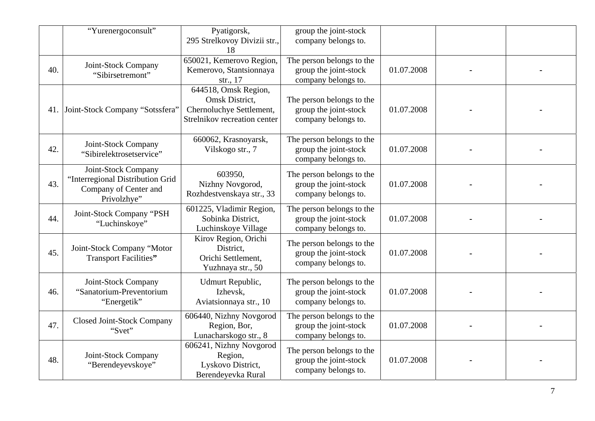|     | "Yurenergoconsult"                                                                              | Pyatigorsk,<br>295 Strelkovoy Divizii str.,<br>18                                                  | group the joint-stock<br>company belongs to.                              |            |  |
|-----|-------------------------------------------------------------------------------------------------|----------------------------------------------------------------------------------------------------|---------------------------------------------------------------------------|------------|--|
| 40. | Joint-Stock Company<br>"Sibirsetremont"                                                         | 650021, Kemerovo Region,<br>Kemerovo, Stantsionnaya<br>str., 17                                    | The person belongs to the<br>group the joint-stock<br>company belongs to. | 01.07.2008 |  |
|     | 41. Joint-Stock Company "Sotssfera"                                                             | 644518, Omsk Region,<br>Omsk District,<br>Chernoluchye Settlement,<br>Strelnikov recreation center | The person belongs to the<br>group the joint-stock<br>company belongs to. | 01.07.2008 |  |
| 42. | Joint-Stock Company<br>"Sibirelektrosetservice"                                                 | 660062, Krasnoyarsk,<br>Vilskogo str., 7                                                           | The person belongs to the<br>group the joint-stock<br>company belongs to. | 01.07.2008 |  |
| 43. | Joint-Stock Company<br>"Interregional Distribution Grid<br>Company of Center and<br>Privolzhye" | 603950,<br>Nizhny Novgorod,<br>Rozhdestvenskaya str., 33                                           | The person belongs to the<br>group the joint-stock<br>company belongs to. | 01.07.2008 |  |
| 44. | Joint-Stock Company "PSH<br>"Luchinskoye"                                                       | 601225, Vladimir Region,<br>Sobinka District,<br>Luchinskoye Village                               | The person belongs to the<br>group the joint-stock<br>company belongs to. | 01.07.2008 |  |
| 45. | Joint-Stock Company "Motor<br>Transport Facilities"                                             | Kirov Region, Orichi<br>District,<br>Orichi Settlement,<br>Yuzhnaya str., 50                       | The person belongs to the<br>group the joint-stock<br>company belongs to. | 01.07.2008 |  |
| 46. | Joint-Stock Company<br>"Sanatorium-Preventorium<br>"Energetik"                                  | Udmurt Republic,<br>Izhevsk,<br>Aviatsionnaya str., 10                                             | The person belongs to the<br>group the joint-stock<br>company belongs to. | 01.07.2008 |  |
| 47. | <b>Closed Joint-Stock Company</b><br>"Svet"                                                     | 606440, Nizhny Novgorod<br>Region, Bor,<br>Lunacharskogo str., 8                                   | The person belongs to the<br>group the joint-stock<br>company belongs to. | 01.07.2008 |  |
| 48. | Joint-Stock Company<br>"Berendeyevskoye"                                                        | 606241, Nizhny Novgorod<br>Region,<br>Lyskovo District,<br>Berendeyevka Rural                      | The person belongs to the<br>group the joint-stock<br>company belongs to. | 01.07.2008 |  |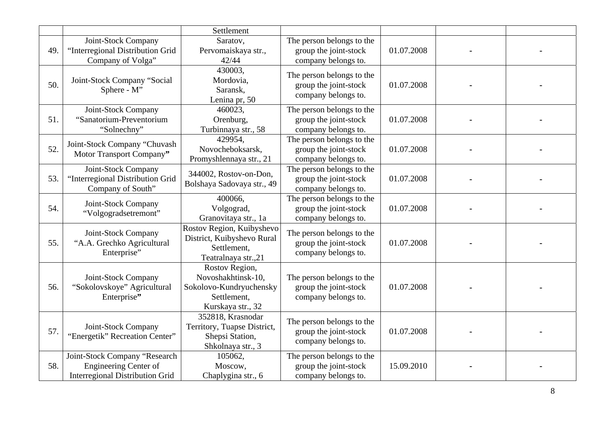|     |                                                                                                         | Settlement                                                                                          |                                                                           |            |  |
|-----|---------------------------------------------------------------------------------------------------------|-----------------------------------------------------------------------------------------------------|---------------------------------------------------------------------------|------------|--|
| 49. | Joint-Stock Company<br>"Interregional Distribution Grid<br>Company of Volga"                            | Saratov,<br>Pervomaiskaya str.,<br>42/44                                                            | The person belongs to the<br>group the joint-stock<br>company belongs to. | 01.07.2008 |  |
| 50. | Joint-Stock Company "Social<br>Sphere - M"                                                              | 430003,<br>Mordovia,<br>Saransk,<br>Lenina pr, 50                                                   | The person belongs to the<br>group the joint-stock<br>company belongs to. | 01.07.2008 |  |
| 51. | Joint-Stock Company<br>"Sanatorium-Preventorium<br>"Solnechny"                                          | 460023,<br>Orenburg,<br>Turbinnaya str., 58                                                         | The person belongs to the<br>group the joint-stock<br>company belongs to. | 01.07.2008 |  |
| 52. | Joint-Stock Company "Chuvash<br>Motor Transport Company"                                                | 429954,<br>Novocheboksarsk,<br>Promyshlennaya str., 21                                              | The person belongs to the<br>group the joint-stock<br>company belongs to. | 01.07.2008 |  |
| 53. | Joint-Stock Company<br>"Interregional Distribution Grid<br>Company of South"                            | 344002, Rostov-on-Don,<br>Bolshaya Sadovaya str., 49                                                | The person belongs to the<br>group the joint-stock<br>company belongs to. | 01.07.2008 |  |
| 54. | Joint-Stock Company<br>"Volgogradsetremont"                                                             | 400066,<br>Volgograd,<br>Granovitaya str., 1a                                                       | The person belongs to the<br>group the joint-stock<br>company belongs to. | 01.07.2008 |  |
| 55. | Joint-Stock Company<br>"A.A. Grechko Agricultural<br>Enterprise"                                        | Rostov Region, Kuibyshevo<br>District, Kuibyshevo Rural<br>Settlement,<br>Teatralnaya str.,21       | The person belongs to the<br>group the joint-stock<br>company belongs to. | 01.07.2008 |  |
| 56. | Joint-Stock Company<br>"Sokolovskoye" Agricultural<br>Enterprise"                                       | Rostov Region,<br>Novoshakhtinsk-10,<br>Sokolovo-Kundryuchensky<br>Settlement,<br>Kurskaya str., 32 | The person belongs to the<br>group the joint-stock<br>company belongs to. | 01.07.2008 |  |
| 57. | Joint-Stock Company<br>"Energetik" Recreation Center"                                                   | 352818, Krasnodar<br>Territory, Tuapse District,<br>Shepsi Station,<br>Shkolnaya str., 3            | The person belongs to the<br>group the joint-stock<br>company belongs to. | 01.07.2008 |  |
| 58. | Joint-Stock Company "Research<br><b>Engineering Center of</b><br><b>Interregional Distribution Grid</b> | 105062,<br>Moscow,<br>Chaplygina str., 6                                                            | The person belongs to the<br>group the joint-stock<br>company belongs to. | 15.09.2010 |  |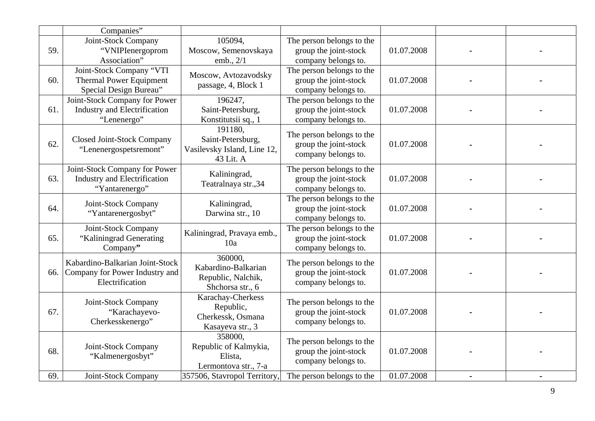|     | Companies"                                                                             |                                                                          |                                                                           |            |                |  |
|-----|----------------------------------------------------------------------------------------|--------------------------------------------------------------------------|---------------------------------------------------------------------------|------------|----------------|--|
| 59. | Joint-Stock Company<br>"VNIPIenergoprom<br>Association"                                | 105094,<br>Moscow, Semenovskaya<br>emb., 2/1                             | The person belongs to the<br>group the joint-stock<br>company belongs to. | 01.07.2008 |                |  |
| 60. | Joint-Stock Company "VTI<br><b>Thermal Power Equipment</b><br>Special Design Bureau"   | Moscow, Avtozavodsky<br>passage, 4, Block 1                              | The person belongs to the<br>group the joint-stock<br>company belongs to. | 01.07.2008 |                |  |
| 61. | Joint-Stock Company for Power<br><b>Industry and Electrification</b><br>"Lenenergo"    | 196247,<br>Saint-Petersburg,<br>Konstitutsii sq., 1                      | The person belongs to the<br>group the joint-stock<br>company belongs to. | 01.07.2008 |                |  |
| 62. | Closed Joint-Stock Company<br>"Lenenergospetsremont"                                   | 191180,<br>Saint-Petersburg,<br>Vasilevsky Island, Line 12,<br>43 Lit. A | The person belongs to the<br>group the joint-stock<br>company belongs to. | 01.07.2008 |                |  |
| 63. | Joint-Stock Company for Power<br><b>Industry and Electrification</b><br>"Yantarenergo" | Kaliningrad,<br>Teatralnaya str., 34                                     | The person belongs to the<br>group the joint-stock<br>company belongs to. | 01.07.2008 |                |  |
| 64. | Joint-Stock Company<br>"Yantarenergosbyt"                                              | Kaliningrad,<br>Darwina str., 10                                         | The person belongs to the<br>group the joint-stock<br>company belongs to. | 01.07.2008 |                |  |
| 65. | Joint-Stock Company<br>"Kaliningrad Generating<br>Company"                             | Kaliningrad, Pravaya emb.,<br>10a                                        | The person belongs to the<br>group the joint-stock<br>company belongs to. | 01.07.2008 |                |  |
| 66. | Kabardino-Balkarian Joint-Stock<br>Company for Power Industry and<br>Electrification   | 360000.<br>Kabardino-Balkarian<br>Republic, Nalchik,<br>Shchorsa str., 6 | The person belongs to the<br>group the joint-stock<br>company belongs to. | 01.07.2008 |                |  |
| 67. | Joint-Stock Company<br>"Karachayevo-<br>Cherkesskenergo"                               | Karachay-Cherkess<br>Republic,<br>Cherkessk, Osmana<br>Kasayeva str., 3  | The person belongs to the<br>group the joint-stock<br>company belongs to. | 01.07.2008 |                |  |
| 68. | Joint-Stock Company<br>"Kalmenergosbyt"                                                | 358000.<br>Republic of Kalmykia,<br>Elista,<br>Lermontova str., 7-a      | The person belongs to the<br>group the joint-stock<br>company belongs to. | 01.07.2008 |                |  |
| 69. | Joint-Stock Company                                                                    | 357506, Stavropol Territory,                                             | The person belongs to the                                                 | 01.07.2008 | $\blacksquare$ |  |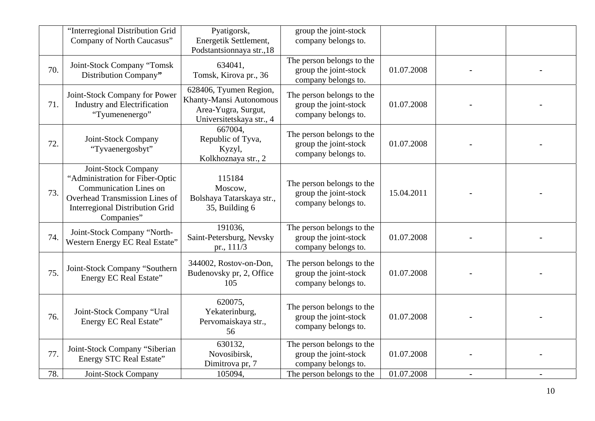|     | "Interregional Distribution Grid<br>Company of North Caucasus"                                                                                                                    | Pyatigorsk,<br>Energetik Settlement,<br>Podstantsionnaya str.,18                                     | group the joint-stock<br>company belongs to.                              |            |  |
|-----|-----------------------------------------------------------------------------------------------------------------------------------------------------------------------------------|------------------------------------------------------------------------------------------------------|---------------------------------------------------------------------------|------------|--|
| 70. | Joint-Stock Company "Tomsk<br>Distribution Company"                                                                                                                               | 634041,<br>Tomsk, Kirova pr., 36                                                                     | The person belongs to the<br>group the joint-stock<br>company belongs to. | 01.07.2008 |  |
| 71. | Joint-Stock Company for Power<br><b>Industry and Electrification</b><br>"Tyumenenergo"                                                                                            | 628406, Tyumen Region,<br>Khanty-Mansi Autonomous<br>Area-Yugra, Surgut,<br>Universitetskaya str., 4 | The person belongs to the<br>group the joint-stock<br>company belongs to. | 01.07.2008 |  |
| 72. | Joint-Stock Company<br>"Tyvaenergosbyt"                                                                                                                                           | 667004,<br>Republic of Tyva,<br>Kyzyl,<br>Kolkhoznaya str., 2                                        | The person belongs to the<br>group the joint-stock<br>company belongs to. | 01.07.2008 |  |
| 73. | Joint-Stock Company<br>"Administration for Fiber-Optic<br><b>Communication Lines on</b><br>Overhead Transmission Lines of<br><b>Interregional Distribution Grid</b><br>Companies" | 115184<br>Moscow,<br>Bolshaya Tatarskaya str.,<br>35, Building 6                                     | The person belongs to the<br>group the joint-stock<br>company belongs to. | 15.04.2011 |  |
| 74. | Joint-Stock Company "North-<br>Western Energy EC Real Estate"                                                                                                                     | 191036,<br>Saint-Petersburg, Nevsky<br>pr., 111/3                                                    | The person belongs to the<br>group the joint-stock<br>company belongs to. | 01.07.2008 |  |
| 75. | Joint-Stock Company "Southern<br>Energy EC Real Estate"                                                                                                                           | 344002, Rostov-on-Don,<br>Budenovsky pr, 2, Office<br>105                                            | The person belongs to the<br>group the joint-stock<br>company belongs to. | 01.07.2008 |  |
| 76. | Joint-Stock Company "Ural<br>Energy EC Real Estate"                                                                                                                               | 620075,<br>Yekaterinburg,<br>Pervomaiskaya str.,<br>56                                               | The person belongs to the<br>group the joint-stock<br>company belongs to. | 01.07.2008 |  |
| 77. | Joint-Stock Company "Siberian<br><b>Energy STC Real Estate"</b>                                                                                                                   | 630132,<br>Novosibirsk,<br>Dimitrova pr, 7                                                           | The person belongs to the<br>group the joint-stock<br>company belongs to. | 01.07.2008 |  |
| 78. | Joint-Stock Company                                                                                                                                                               | 105094,                                                                                              | The person belongs to the                                                 | 01.07.2008 |  |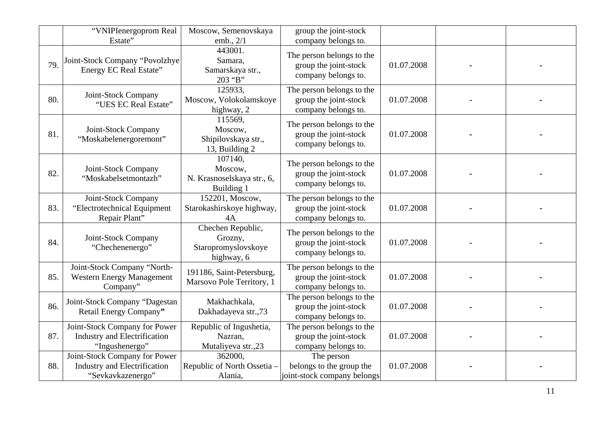|     | "VNIPIenergoprom Real<br>Estate"                                                          | Moscow, Semenovskaya<br>emb., 2/1                                 | group the joint-stock<br>company belongs to.                              |            |  |
|-----|-------------------------------------------------------------------------------------------|-------------------------------------------------------------------|---------------------------------------------------------------------------|------------|--|
| 79. | Joint-Stock Company "Povolzhye<br><b>Energy EC Real Estate"</b>                           | 443001.<br>Samara,<br>Samarskaya str.,<br>203 "B"                 | The person belongs to the<br>group the joint-stock<br>company belongs to. | 01.07.2008 |  |
| 80. | Joint-Stock Company<br>"UES EC Real Estate"                                               | 125933,<br>Moscow, Volokolamskoye<br>highway, 2                   | The person belongs to the<br>group the joint-stock<br>company belongs to. | 01.07.2008 |  |
| 81. | Joint-Stock Company<br>"Moskabelenergoremont"                                             | 115569,<br>Moscow,<br>Shipilovskaya str.,<br>13, Building 2       | The person belongs to the<br>group the joint-stock<br>company belongs to. | 01.07.2008 |  |
| 82. | Joint-Stock Company<br>"Moskabelsetmontazh"                                               | 107140,<br>Moscow,<br>N. Krasnoselskaya str., 6,<br>Building 1    | The person belongs to the<br>group the joint-stock<br>company belongs to. | 01.07.2008 |  |
| 83. | Joint-Stock Company<br>"Electrotechnical Equipment<br>Repair Plant"                       | 152201, Moscow,<br>Starokashirskoye highway,<br>4A                | The person belongs to the<br>group the joint-stock<br>company belongs to. | 01.07.2008 |  |
| 84. | Joint-Stock Company<br>"Chechenenergo"                                                    | Chechen Republic,<br>Grozny,<br>Staropromyslovskoye<br>highway, 6 | The person belongs to the<br>group the joint-stock<br>company belongs to. | 01.07.2008 |  |
| 85. | Joint-Stock Company "North-<br><b>Western Energy Management</b><br>Company"               | 191186, Saint-Petersburg,<br>Marsovo Pole Territory, 1            | The person belongs to the<br>group the joint-stock<br>company belongs to. | 01.07.2008 |  |
| 86. | Joint-Stock Company "Dagestan<br>Retail Energy Company"                                   | Makhachkala,<br>Dakhadayeva str.,73                               | The person belongs to the<br>group the joint-stock<br>company belongs to. | 01.07.2008 |  |
| 87. | Joint-Stock Company for Power<br><b>Industry and Electrification</b><br>"Ingushenergo"    | Republic of Ingushetia,<br>Nazran,<br>Mutaliyeva str.,23          | The person belongs to the<br>group the joint-stock<br>company belongs to. | 01.07.2008 |  |
| 88. | Joint-Stock Company for Power<br><b>Industry and Electrification</b><br>"Sevkavkazenergo" | 362000,<br>Republic of North Ossetia -<br>Alania,                 | The person<br>belongs to the group the<br>joint-stock company belongs     | 01.07.2008 |  |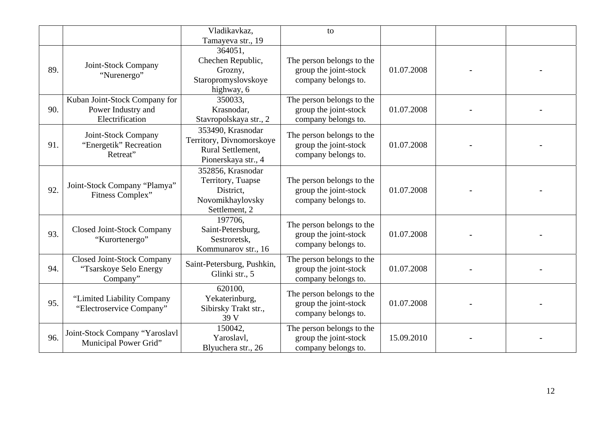|     |                                                                         | Vladikavkaz,                                                                              | to                                                                        |            |  |
|-----|-------------------------------------------------------------------------|-------------------------------------------------------------------------------------------|---------------------------------------------------------------------------|------------|--|
|     |                                                                         | Tamayeva str., 19                                                                         |                                                                           |            |  |
| 89. | Joint-Stock Company<br>"Nurenergo"                                      | 364051,<br>Chechen Republic,<br>Grozny,<br>Staropromyslovskoye<br>highway, 6              | The person belongs to the<br>group the joint-stock<br>company belongs to. | 01.07.2008 |  |
| 90. | Kuban Joint-Stock Company for<br>Power Industry and<br>Electrification  | 350033,<br>Krasnodar,<br>Stavropolskaya str., 2                                           | The person belongs to the<br>group the joint-stock<br>company belongs to. | 01.07.2008 |  |
| 91. | Joint-Stock Company<br>"Energetik" Recreation<br>Retreat"               | 353490, Krasnodar<br>Territory, Divnomorskoye<br>Rural Settlement,<br>Pionerskaya str., 4 | The person belongs to the<br>group the joint-stock<br>company belongs to. | 01.07.2008 |  |
| 92. | Joint-Stock Company "Plamya"<br>Fitness Complex"                        | 352856, Krasnodar<br>Territory, Tuapse<br>District,<br>Novomikhaylovsky<br>Settlement, 2  | The person belongs to the<br>group the joint-stock<br>company belongs to. | 01.07.2008 |  |
| 93. | <b>Closed Joint-Stock Company</b><br>"Kurortenergo"                     | 197706.<br>Saint-Petersburg,<br>Sestroretsk,<br>Kommunarov str., 16                       | The person belongs to the<br>group the joint-stock<br>company belongs to. | 01.07.2008 |  |
| 94. | <b>Closed Joint-Stock Company</b><br>"Tsarskoye Selo Energy<br>Company" | Saint-Petersburg, Pushkin,<br>Glinki str., 5                                              | The person belongs to the<br>group the joint-stock<br>company belongs to. | 01.07.2008 |  |
| 95. | "Limited Liability Company"<br>"Electroservice Company"                 | 620100,<br>Yekaterinburg,<br>Sibirsky Trakt str.,<br>39 V                                 | The person belongs to the<br>group the joint-stock<br>company belongs to. | 01.07.2008 |  |
| 96. | Joint-Stock Company "Yaroslavl<br>Municipal Power Grid"                 | 150042,<br>Yaroslavl,<br>Blyuchera str., 26                                               | The person belongs to the<br>group the joint-stock<br>company belongs to. | 15.09.2010 |  |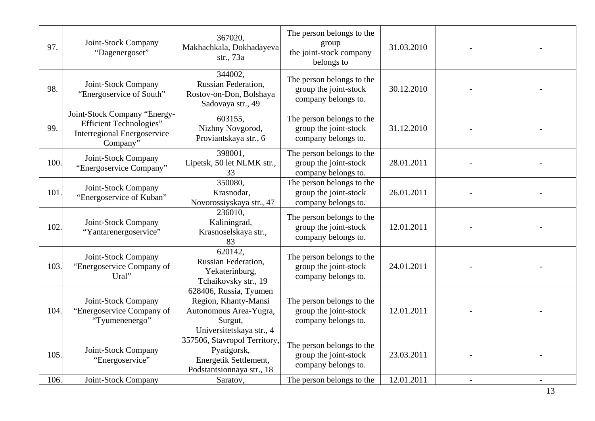| 97.  | Joint-Stock Company<br>"Dagenergoset"                                                                            | 367020,<br>Makhachkala, Dokhadayeva<br>str., 73a                                                                | The person belongs to the<br>group<br>the joint-stock company<br>belongs to | 31.03.2010 |  |
|------|------------------------------------------------------------------------------------------------------------------|-----------------------------------------------------------------------------------------------------------------|-----------------------------------------------------------------------------|------------|--|
| 98.  | Joint-Stock Company<br>"Energoservice of South"                                                                  | 344002,<br><b>Russian Federation,</b><br>Rostov-on-Don, Bolshaya<br>Sadovaya str., 49                           | The person belongs to the<br>group the joint-stock<br>company belongs to.   | 30.12.2010 |  |
| 99.  | Joint-Stock Company "Energy-<br><b>Efficient Technologies"</b><br><b>Interregional Energoservice</b><br>Company" | 603155.<br>Nizhny Novgorod,<br>Proviantskaya str., 6                                                            | The person belongs to the<br>group the joint-stock<br>company belongs to.   | 31.12.2010 |  |
| 100. | Joint-Stock Company<br>"Energoservice Company"                                                                   | 398001.<br>Lipetsk, 50 let NLMK str.,<br>33                                                                     | The person belongs to the<br>group the joint-stock<br>company belongs to.   | 28.01.2011 |  |
| 101. | Joint-Stock Company<br>"Energoservice of Kuban"                                                                  | 350080,<br>Krasnodar,<br>Novorossiyskaya str., 47                                                               | The person belongs to the<br>group the joint-stock<br>company belongs to.   | 26.01.2011 |  |
| 102. | Joint-Stock Company<br>"Yantarenergoservice"                                                                     | 236010.<br>Kaliningrad,<br>Krasnoselskaya str.,<br>83                                                           | The person belongs to the<br>group the joint-stock<br>company belongs to.   | 12.01.2011 |  |
| 103. | Joint-Stock Company<br>"Energoservice Company of<br>Ural"                                                        | 620142.<br><b>Russian Federation,</b><br>Yekaterinburg,<br>Tchaikovsky str., 19                                 | The person belongs to the<br>group the joint-stock<br>company belongs to.   | 24.01.2011 |  |
| 104. | Joint-Stock Company<br>"Energoservice Company of<br>"Tyumenenergo"                                               | 628406, Russia, Tyumen<br>Region, Khanty-Mansi<br>Autonomous Area-Yugra,<br>Surgut,<br>Universitetskaya str., 4 | The person belongs to the<br>group the joint-stock<br>company belongs to.   | 12.01.2011 |  |
| 105. | Joint-Stock Company<br>"Energoservice"                                                                           | 357506, Stavropol Territory,<br>Pyatigorsk,<br>Energetik Settlement,<br>Podstantsionnaya str., 18               | The person belongs to the<br>group the joint-stock<br>company belongs to.   | 23.03.2011 |  |
| 106. | Joint-Stock Company                                                                                              | Saratov,                                                                                                        | The person belongs to the                                                   | 12.01.2011 |  |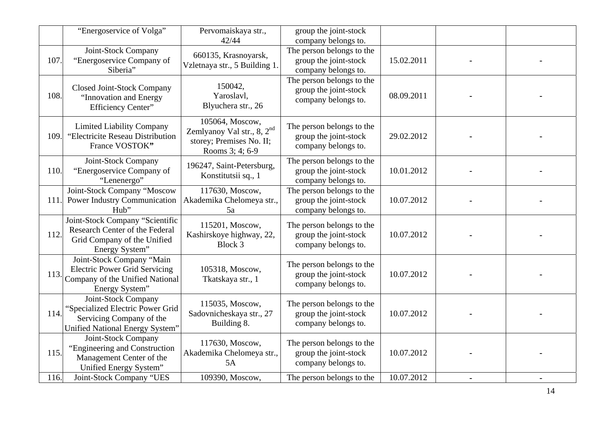|      | "Energoservice of Volga"                                                                                               | Pervomaiskaya str.,<br>42/44                                                                             | group the joint-stock<br>company belongs to.                              |            |  |
|------|------------------------------------------------------------------------------------------------------------------------|----------------------------------------------------------------------------------------------------------|---------------------------------------------------------------------------|------------|--|
| 107. | Joint-Stock Company<br>"Energoservice Company of<br>Siberia"                                                           | 660135, Krasnoyarsk,<br>Vzletnaya str., 5 Building 1.                                                    | The person belongs to the<br>group the joint-stock<br>company belongs to. | 15.02.2011 |  |
| 108. | Closed Joint-Stock Company<br>"Innovation and Energy<br>Efficiency Center"                                             | 150042,<br>Yaroslavl,<br>Blyuchera str., 26                                                              | The person belongs to the<br>group the joint-stock<br>company belongs to. | 08.09.2011 |  |
| 109. | <b>Limited Liability Company</b><br>"Electricite Reseau Distribution<br>France VOSTOK"                                 | 105064, Moscow,<br>Zemlyanoy Val str., 8, 2 <sup>nd</sup><br>storey; Premises No. II;<br>Rooms 3; 4; 6-9 | The person belongs to the<br>group the joint-stock<br>company belongs to. | 29.02.2012 |  |
| 110. | Joint-Stock Company<br>"Energoservice Company of<br>"Lenenergo"                                                        | 196247, Saint-Petersburg,<br>Konstitutsii sq., 1                                                         | The person belongs to the<br>group the joint-stock<br>company belongs to. | 10.01.2012 |  |
| 111. | Joint-Stock Company "Moscow<br><b>Power Industry Communication</b><br>Hub"                                             | 117630, Moscow,<br>Akademika Chelomeya str.,<br>5a                                                       | The person belongs to the<br>group the joint-stock<br>company belongs to. | 10.07.2012 |  |
| 112. | Joint-Stock Company "Scientific<br>Research Center of the Federal<br>Grid Company of the Unified<br>Energy System"     | 115201, Moscow,<br>Kashirskoye highway, 22,<br>Block 3                                                   | The person belongs to the<br>group the joint-stock<br>company belongs to. | 10.07.2012 |  |
| 113. | Joint-Stock Company "Main<br><b>Electric Power Grid Servicing</b><br>Company of the Unified National<br>Energy System" | 105318, Moscow,<br>Tkatskaya str., 1                                                                     | The person belongs to the<br>group the joint-stock<br>company belongs to. | 10.07.2012 |  |
| 114. | Joint-Stock Company<br>"Specialized Electric Power Grid<br>Servicing Company of the<br>Unified National Energy System" | 115035, Moscow,<br>Sadovnicheskaya str., 27<br>Building 8.                                               | The person belongs to the<br>group the joint-stock<br>company belongs to. | 10.07.2012 |  |
| 115. | Joint-Stock Company<br>"Engineering and Construction<br>Management Center of the<br>Unified Energy System"             | 117630, Moscow,<br>Akademika Chelomeya str.,<br>5A                                                       | The person belongs to the<br>group the joint-stock<br>company belongs to. | 10.07.2012 |  |
| 116. | Joint-Stock Company "UES                                                                                               | 109390, Moscow,                                                                                          | The person belongs to the                                                 | 10.07.2012 |  |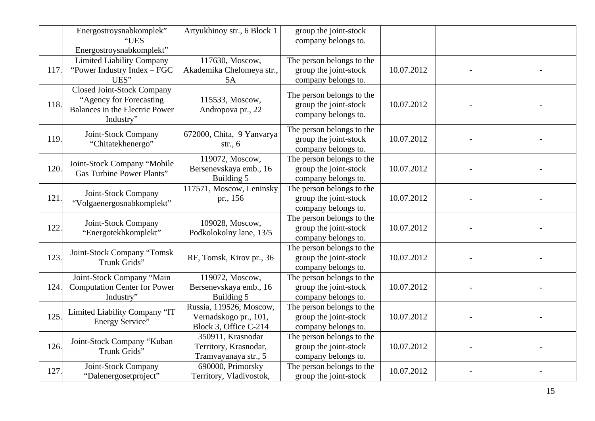|      | Energostroysnabkomplek"<br>"UES<br>Energostroysnabkomplekt"                                                 | Artyukhinoy str., 6 Block 1                                               | group the joint-stock<br>company belongs to.                              |            |  |
|------|-------------------------------------------------------------------------------------------------------------|---------------------------------------------------------------------------|---------------------------------------------------------------------------|------------|--|
| 117. | <b>Limited Liability Company</b><br>"Power Industry Index - FGC<br>UES"                                     | 117630, Moscow,<br>Akademika Chelomeya str.,<br>5A                        | The person belongs to the<br>group the joint-stock<br>company belongs to. | 10.07.2012 |  |
| 118. | <b>Closed Joint-Stock Company</b><br>"Agency for Forecasting<br>Balances in the Electric Power<br>Industry" | 115533, Moscow,<br>Andropova pr., 22                                      | The person belongs to the<br>group the joint-stock<br>company belongs to. | 10.07.2012 |  |
| 119. | Joint-Stock Company<br>"Chitatekhenergo"                                                                    | 672000, Chita, 9 Yanvarya<br>str., $6$                                    | The person belongs to the<br>group the joint-stock<br>company belongs to. | 10.07.2012 |  |
| 120. | Joint-Stock Company "Mobile<br><b>Gas Turbine Power Plants"</b>                                             | 119072, Moscow,<br>Bersenevskaya emb., 16<br>Building 5                   | The person belongs to the<br>group the joint-stock<br>company belongs to. | 10.07.2012 |  |
| 121. | Joint-Stock Company<br>"Volgaenergosnabkomplekt"                                                            | 117571, Moscow, Leninsky<br>pr., 156                                      | The person belongs to the<br>group the joint-stock<br>company belongs to. | 10.07.2012 |  |
| 122. | Joint-Stock Company<br>"Energotekhkomplekt"                                                                 | 109028, Moscow,<br>Podkolokolny lane, 13/5                                | The person belongs to the<br>group the joint-stock<br>company belongs to. | 10.07.2012 |  |
| 123. | Joint-Stock Company "Tomsk<br>Trunk Grids"                                                                  | RF, Tomsk, Kirov pr., 36                                                  | The person belongs to the<br>group the joint-stock<br>company belongs to. | 10.07.2012 |  |
| 124. | Joint-Stock Company "Main<br><b>Computation Center for Power</b><br>Industry"                               | 119072, Moscow,<br>Bersenevskaya emb., 16<br>Building 5                   | The person belongs to the<br>group the joint-stock<br>company belongs to. | 10.07.2012 |  |
| 125. | Limited Liability Company "IT<br>Energy Service"                                                            | Russia, 119526, Moscow,<br>Vernadskogo pr., 101,<br>Block 3, Office C-214 | The person belongs to the<br>group the joint-stock<br>company belongs to. | 10.07.2012 |  |
| 126. | Joint-Stock Company "Kuban<br>Trunk Grids"                                                                  | 350911, Krasnodar<br>Territory, Krasnodar,<br>Tramvayanaya str., 5        | The person belongs to the<br>group the joint-stock<br>company belongs to. | 10.07.2012 |  |
| 127. | Joint-Stock Company<br>"Dalenergosetproject"                                                                | 690000, Primorsky<br>Territory, Vladivostok,                              | The person belongs to the<br>group the joint-stock                        | 10.07.2012 |  |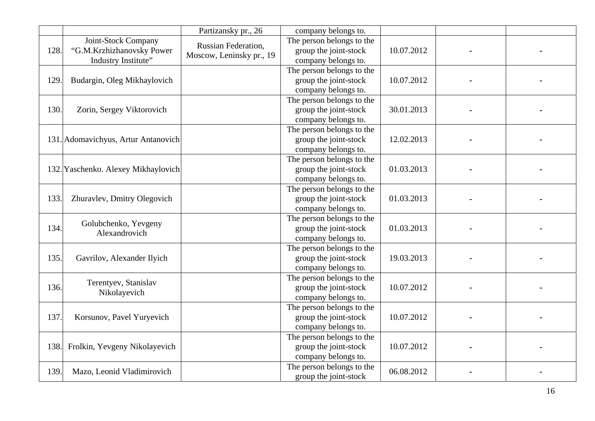|      |                                                                         | Partizansky pr., 26                                    | company belongs to.                                                       |            |  |
|------|-------------------------------------------------------------------------|--------------------------------------------------------|---------------------------------------------------------------------------|------------|--|
| 128. | Joint-Stock Company<br>"G.M.Krzhizhanovsky Power<br>Industry Institute" | <b>Russian Federation,</b><br>Moscow, Leninsky pr., 19 | The person belongs to the<br>group the joint-stock<br>company belongs to. | 10.07.2012 |  |
| 129. | Budargin, Oleg Mikhaylovich                                             |                                                        | The person belongs to the<br>group the joint-stock<br>company belongs to. | 10.07.2012 |  |
| 130. | Zorin, Sergey Viktorovich                                               |                                                        | The person belongs to the<br>group the joint-stock<br>company belongs to. | 30.01.2013 |  |
|      | 131. Adomavichyus, Artur Antanovich                                     |                                                        | The person belongs to the<br>group the joint-stock<br>company belongs to. | 12.02.2013 |  |
|      | 132. Yaschenko. Alexey Mikhaylovich                                     |                                                        | The person belongs to the<br>group the joint-stock<br>company belongs to. | 01.03.2013 |  |
| 133. | Zhuravlev, Dmitry Olegovich                                             |                                                        | The person belongs to the<br>group the joint-stock<br>company belongs to. | 01.03.2013 |  |
| 134. | Golubchenko, Yevgeny<br>Alexandrovich                                   |                                                        | The person belongs to the<br>group the joint-stock<br>company belongs to. | 01.03.2013 |  |
| 135. | Gavrilov, Alexander Ilyich                                              |                                                        | The person belongs to the<br>group the joint-stock<br>company belongs to. | 19.03.2013 |  |
| 136. | Terentyev, Stanislav<br>Nikolayevich                                    |                                                        | The person belongs to the<br>group the joint-stock<br>company belongs to. | 10.07.2012 |  |
| 137. | Korsunov, Pavel Yuryevich                                               |                                                        | The person belongs to the<br>group the joint-stock<br>company belongs to. | 10.07.2012 |  |
| 138. | Frolkin, Yevgeny Nikolayevich                                           |                                                        | The person belongs to the<br>group the joint-stock<br>company belongs to. | 10.07.2012 |  |
| 139. | Mazo, Leonid Vladimirovich                                              |                                                        | The person belongs to the<br>group the joint-stock                        | 06.08.2012 |  |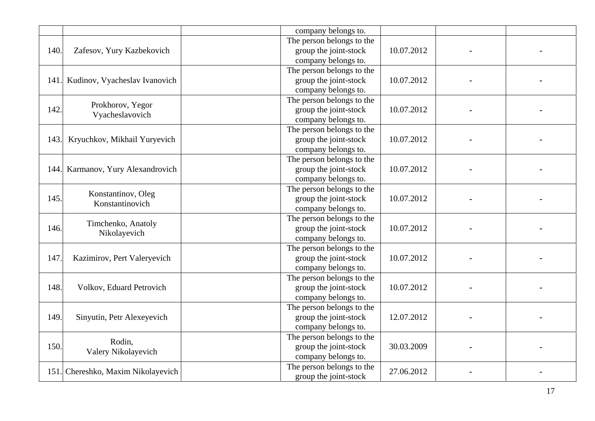|      |                                    | company belongs to.       |            |  |
|------|------------------------------------|---------------------------|------------|--|
|      |                                    | The person belongs to the |            |  |
| 140. | Zafesov, Yury Kazbekovich          | group the joint-stock     | 10.07.2012 |  |
|      |                                    | company belongs to.       |            |  |
|      |                                    | The person belongs to the |            |  |
| 141. | Kudinov, Vyacheslav Ivanovich      | group the joint-stock     | 10.07.2012 |  |
|      |                                    | company belongs to.       |            |  |
|      | Prokhorov, Yegor                   | The person belongs to the |            |  |
| 142. | Vyacheslavovich                    | group the joint-stock     | 10.07.2012 |  |
|      |                                    | company belongs to.       |            |  |
|      |                                    | The person belongs to the |            |  |
| 143. | Kryuchkov, Mikhail Yuryevich       | group the joint-stock     | 10.07.2012 |  |
|      |                                    | company belongs to.       |            |  |
|      |                                    | The person belongs to the |            |  |
|      | 144. Karmanov, Yury Alexandrovich  | group the joint-stock     | 10.07.2012 |  |
|      |                                    | company belongs to.       |            |  |
|      |                                    | The person belongs to the |            |  |
| 145. | Konstantinov, Oleg                 | group the joint-stock     | 10.07.2012 |  |
|      | Konstantinovich                    | company belongs to.       |            |  |
|      | Timchenko, Anatoly                 | The person belongs to the |            |  |
| 146. | Nikolayevich                       | group the joint-stock     | 10.07.2012 |  |
|      |                                    | company belongs to.       |            |  |
|      |                                    | The person belongs to the |            |  |
| 147. | Kazimirov, Pert Valeryevich        | group the joint-stock     | 10.07.2012 |  |
|      |                                    | company belongs to.       |            |  |
|      |                                    | The person belongs to the |            |  |
| 148. | Volkov, Eduard Petrovich           | group the joint-stock     | 10.07.2012 |  |
|      |                                    | company belongs to.       |            |  |
|      |                                    | The person belongs to the |            |  |
| 149. | Sinyutin, Petr Alexeyevich         | group the joint-stock     | 12.07.2012 |  |
|      |                                    | company belongs to.       |            |  |
|      | Rodin,                             | The person belongs to the |            |  |
| 150. | Valery Nikolayevich                | group the joint-stock     | 30.03.2009 |  |
|      |                                    | company belongs to.       |            |  |
|      | 151. Chereshko, Maxim Nikolayevich | The person belongs to the | 27.06.2012 |  |
|      |                                    | group the joint-stock     |            |  |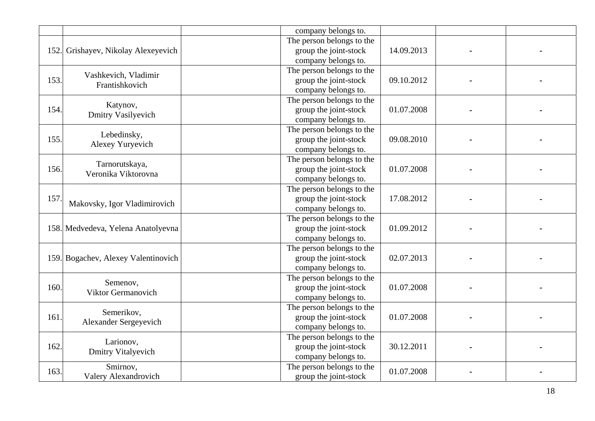|      |                                     | company belongs to.       |            |  |
|------|-------------------------------------|---------------------------|------------|--|
|      |                                     | The person belongs to the |            |  |
|      | 152. Grishayev, Nikolay Alexeyevich | group the joint-stock     | 14.09.2013 |  |
|      |                                     | company belongs to.       |            |  |
|      |                                     | The person belongs to the |            |  |
| 153. | Vashkevich, Vladimir                | group the joint-stock     | 09.10.2012 |  |
|      | Frantishkovich                      | company belongs to.       |            |  |
|      |                                     | The person belongs to the |            |  |
| 154. | Katynov,                            | group the joint-stock     | 01.07.2008 |  |
|      | <b>Dmitry Vasilyevich</b>           | company belongs to.       |            |  |
|      |                                     | The person belongs to the |            |  |
| 155. | Lebedinsky,                         | group the joint-stock     | 09.08.2010 |  |
|      | Alexey Yuryevich                    | company belongs to.       |            |  |
|      |                                     | The person belongs to the |            |  |
| 156. | Tarnorutskaya,                      | group the joint-stock     | 01.07.2008 |  |
|      | Veronika Viktorovna                 | company belongs to.       |            |  |
|      |                                     | The person belongs to the |            |  |
| 157. |                                     | group the joint-stock     | 17.08.2012 |  |
|      | Makovsky, Igor Vladimirovich        | company belongs to.       |            |  |
|      |                                     | The person belongs to the |            |  |
|      | 158. Medvedeva, Yelena Anatolyevna  | group the joint-stock     | 01.09.2012 |  |
|      |                                     | company belongs to.       |            |  |
|      |                                     | The person belongs to the |            |  |
|      | 159. Bogachev, Alexey Valentinovich | group the joint-stock     | 02.07.2013 |  |
|      |                                     | company belongs to.       |            |  |
|      | Semenov,                            | The person belongs to the |            |  |
| 160. | Viktor Germanovich                  | group the joint-stock     | 01.07.2008 |  |
|      |                                     | company belongs to.       |            |  |
|      | Semerikov,                          | The person belongs to the |            |  |
| 161. |                                     | group the joint-stock     | 01.07.2008 |  |
|      | Alexander Sergeyevich               | company belongs to.       |            |  |
|      | Larionov,                           | The person belongs to the |            |  |
| 162. |                                     | group the joint-stock     | 30.12.2011 |  |
|      | <b>Dmitry Vitalyevich</b>           | company belongs to.       |            |  |
| 163. | Smirnov,                            | The person belongs to the | 01.07.2008 |  |
|      | Valery Alexandrovich                | group the joint-stock     |            |  |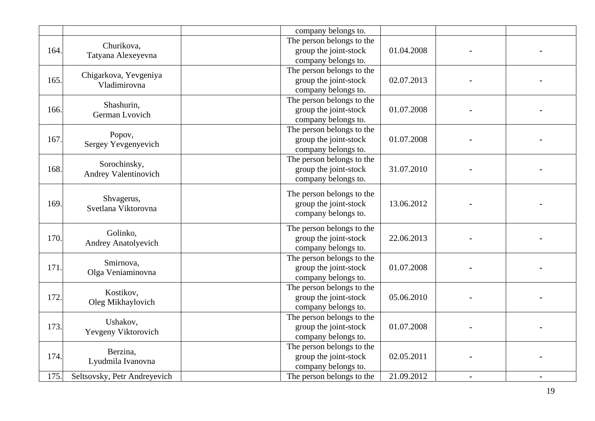|      |                              | company belongs to.       |            |  |
|------|------------------------------|---------------------------|------------|--|
|      | Churikova,                   | The person belongs to the |            |  |
| 164. | Tatyana Alexeyevna           | group the joint-stock     | 01.04.2008 |  |
|      |                              | company belongs to.       |            |  |
|      | Chigarkova, Yevgeniya        | The person belongs to the |            |  |
| 165. | Vladimirovna                 | group the joint-stock     | 02.07.2013 |  |
|      |                              | company belongs to.       |            |  |
|      | Shashurin,                   | The person belongs to the |            |  |
| 166. | German Lvovich               | group the joint-stock     | 01.07.2008 |  |
|      |                              | company belongs to.       |            |  |
|      | Popov,                       | The person belongs to the |            |  |
| 167. | Sergey Yevgenyevich          | group the joint-stock     | 01.07.2008 |  |
|      |                              | company belongs to.       |            |  |
|      | Sorochinsky,                 | The person belongs to the |            |  |
| 168. |                              | group the joint-stock     | 31.07.2010 |  |
|      | Andrey Valentinovich         | company belongs to.       |            |  |
|      |                              | The person belongs to the |            |  |
| 169. | Shvagerus,                   | group the joint-stock     | 13.06.2012 |  |
|      | Svetlana Viktorovna          | company belongs to.       |            |  |
|      |                              |                           |            |  |
|      | Golinko,                     | The person belongs to the | 22.06.2013 |  |
| 170. | Andrey Anatolyevich          | group the joint-stock     |            |  |
|      |                              | company belongs to.       |            |  |
|      | Smirnova,                    | The person belongs to the |            |  |
| 171. | Olga Veniaminovna            | group the joint-stock     | 01.07.2008 |  |
|      |                              | company belongs to.       |            |  |
|      | Kostikov,                    | The person belongs to the |            |  |
| 172. |                              | group the joint-stock     | 05.06.2010 |  |
|      | Oleg Mikhaylovich            | company belongs to.       |            |  |
|      | Ushakov,                     | The person belongs to the |            |  |
| 173. |                              | group the joint-stock     | 01.07.2008 |  |
|      | Yevgeny Viktorovich          | company belongs to.       |            |  |
|      |                              | The person belongs to the |            |  |
| 174. | Berzina,                     | group the joint-stock     | 02.05.2011 |  |
|      | Lyudmila Ivanovna            | company belongs to.       |            |  |
| 175. | Seltsovsky, Petr Andreyevich | The person belongs to the | 21.09.2012 |  |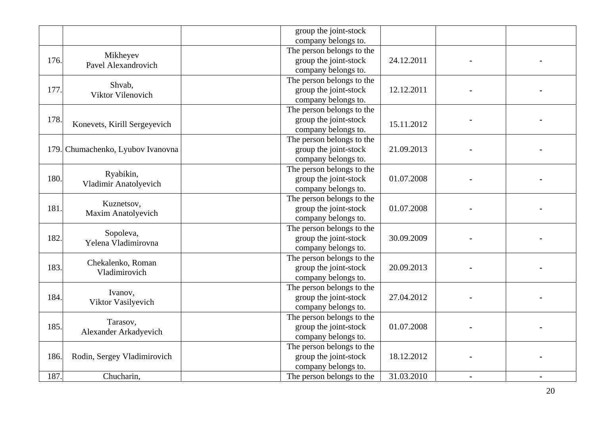|      |                                         | group the joint-stock<br>company belongs to.                              |            |  |
|------|-----------------------------------------|---------------------------------------------------------------------------|------------|--|
| 176. | Mikheyev<br>Pavel Alexandrovich         | The person belongs to the<br>group the joint-stock<br>company belongs to. | 24.12.2011 |  |
| 177. | Shvab,<br>Viktor Vilenovich             | The person belongs to the<br>group the joint-stock<br>company belongs to. | 12.12.2011 |  |
| 178. | Konevets, Kirill Sergeyevich            | The person belongs to the<br>group the joint-stock<br>company belongs to. | 15.11.2012 |  |
|      | 179. Chumachenko, Lyubov Ivanovna       | The person belongs to the<br>group the joint-stock<br>company belongs to. | 21.09.2013 |  |
| 180. | Ryabikin,<br>Vladimir Anatolyevich      | The person belongs to the<br>group the joint-stock<br>company belongs to. | 01.07.2008 |  |
| 181. | Kuznetsov,<br><b>Maxim Anatolyevich</b> | The person belongs to the<br>group the joint-stock<br>company belongs to. | 01.07.2008 |  |
| 182. | Sopoleva,<br>Yelena Vladimirovna        | The person belongs to the<br>group the joint-stock<br>company belongs to. | 30.09.2009 |  |
| 183. | Chekalenko, Roman<br>Vladimirovich      | The person belongs to the<br>group the joint-stock<br>company belongs to. | 20.09.2013 |  |
| 184. | Ivanov,<br>Viktor Vasilyevich           | The person belongs to the<br>group the joint-stock<br>company belongs to. | 27.04.2012 |  |
| 185. | Tarasov,<br>Alexander Arkadyevich       | The person belongs to the<br>group the joint-stock<br>company belongs to. | 01.07.2008 |  |
| 186. | Rodin, Sergey Vladimirovich             | The person belongs to the<br>group the joint-stock<br>company belongs to. | 18.12.2012 |  |
| 187. | Chucharin,                              | The person belongs to the                                                 | 31.03.2010 |  |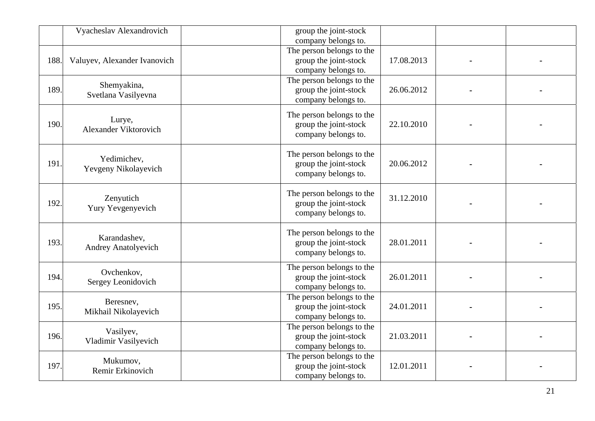|      | Vyacheslav Alexandrovich                   | group the joint-stock<br>company belongs to.                              |            |  |
|------|--------------------------------------------|---------------------------------------------------------------------------|------------|--|
| 188. | Valuyev, Alexander Ivanovich               | The person belongs to the<br>group the joint-stock<br>company belongs to. | 17.08.2013 |  |
| 189. | Shemyakina,<br>Svetlana Vasilyevna         | The person belongs to the<br>group the joint-stock<br>company belongs to. | 26.06.2012 |  |
| 190. | Lurye,<br>Alexander Viktorovich            | The person belongs to the<br>group the joint-stock<br>company belongs to. | 22.10.2010 |  |
| 191. | Yedimichev,<br>Yevgeny Nikolayevich        | The person belongs to the<br>group the joint-stock<br>company belongs to. | 20.06.2012 |  |
| 192. | Zenyutich<br>Yury Yevgenyevich             | The person belongs to the<br>group the joint-stock<br>company belongs to. | 31.12.2010 |  |
| 193. | Karandashev,<br><b>Andrey Anatolyevich</b> | The person belongs to the<br>group the joint-stock<br>company belongs to. | 28.01.2011 |  |
| 194. | Ovchenkov,<br>Sergey Leonidovich           | The person belongs to the<br>group the joint-stock<br>company belongs to. | 26.01.2011 |  |
| 195. | Beresnev,<br>Mikhail Nikolayevich          | The person belongs to the<br>group the joint-stock<br>company belongs to. | 24.01.2011 |  |
| 196. | Vasilyev,<br>Vladimir Vasilyevich          | The person belongs to the<br>group the joint-stock<br>company belongs to. | 21.03.2011 |  |
| 197. | Mukumov,<br>Remir Erkinovich               | The person belongs to the<br>group the joint-stock<br>company belongs to. | 12.01.2011 |  |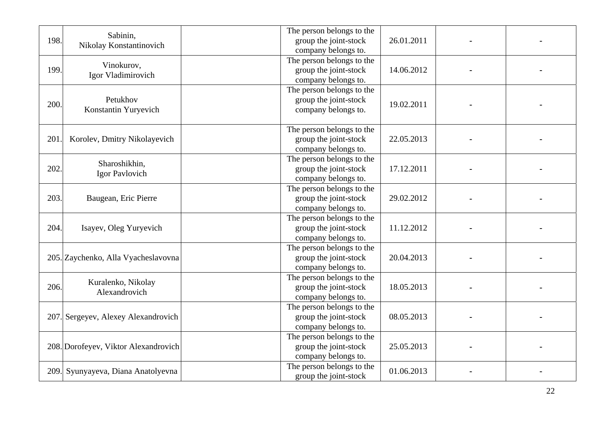| 198. | Sabinin,<br>Nikolay Konstantinovich  | The person belongs to the<br>group the joint-stock<br>company belongs to. | 26.01.2011 |  |
|------|--------------------------------------|---------------------------------------------------------------------------|------------|--|
| 199. | Vinokurov,<br>Igor Vladimirovich     | The person belongs to the<br>group the joint-stock<br>company belongs to. | 14.06.2012 |  |
| 200. | Petukhov<br>Konstantin Yuryevich     | The person belongs to the<br>group the joint-stock<br>company belongs to. | 19.02.2011 |  |
| 201  | Korolev, Dmitry Nikolayevich         | The person belongs to the<br>group the joint-stock<br>company belongs to. | 22.05.2013 |  |
| 202. | Sharoshikhin,<br>Igor Pavlovich      | The person belongs to the<br>group the joint-stock<br>company belongs to. | 17.12.2011 |  |
| 203. | Baugean, Eric Pierre                 | The person belongs to the<br>group the joint-stock<br>company belongs to. | 29.02.2012 |  |
| 204. | Isayev, Oleg Yuryevich               | The person belongs to the<br>group the joint-stock<br>company belongs to. | 11.12.2012 |  |
|      | 205. Zaychenko, Alla Vyacheslavovna  | The person belongs to the<br>group the joint-stock<br>company belongs to. | 20.04.2013 |  |
| 206. | Kuralenko, Nikolay<br>Alexandrovich  | The person belongs to the<br>group the joint-stock<br>company belongs to. | 18.05.2013 |  |
|      | 207. Sergeyev, Alexey Alexandrovich  | The person belongs to the<br>group the joint-stock<br>company belongs to. | 08.05.2013 |  |
|      | 208. Dorofeyev, Viktor Alexandrovich | The person belongs to the<br>group the joint-stock<br>company belongs to. | 25.05.2013 |  |
|      | 209. Syunyayeva, Diana Anatolyevna   | The person belongs to the<br>group the joint-stock                        | 01.06.2013 |  |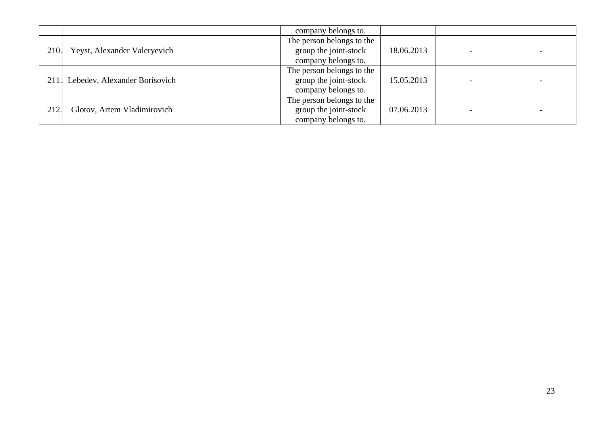|      |                                    | company belongs to.       |            |  |
|------|------------------------------------|---------------------------|------------|--|
|      |                                    | The person belongs to the |            |  |
| 210. | Yeyst, Alexander Valeryevich       | group the joint-stock     | 18.06.2013 |  |
|      |                                    | company belongs to.       |            |  |
|      |                                    | The person belongs to the |            |  |
|      | 211. Lebedev, Alexander Borisovich | group the joint-stock     | 15.05.2013 |  |
|      |                                    | company belongs to.       |            |  |
|      |                                    | The person belongs to the |            |  |
| 212. | Glotov, Artem Vladimirovich        | group the joint-stock     | 07.06.2013 |  |
|      |                                    | company belongs to.       |            |  |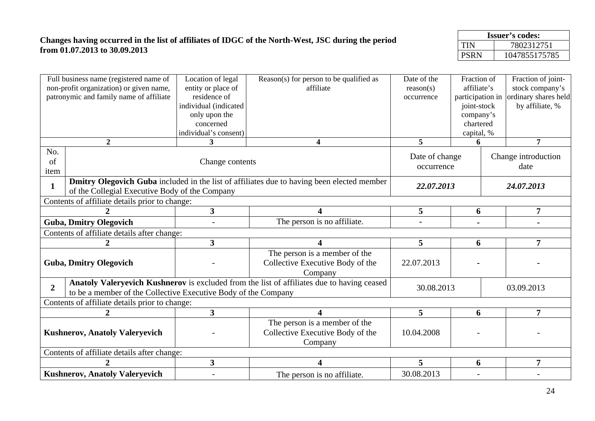## **Changes having occurred in the list of affiliates of IDGC of the North-West, JSC during the period from 01.07.2013 to 30.09.2013**

| <b>Issuer's codes:</b> |               |  |  |  |
|------------------------|---------------|--|--|--|
| TIN                    | 7802312751    |  |  |  |
| <b>PSRN</b>            | 1047855175785 |  |  |  |

|                   | Full business name (registered name of<br>non-profit organization) or given name,<br>patronymic and family name of affiliate | Location of legal<br>entity or place of<br>residence of<br>individual (indicated<br>only upon the<br>concerned | Reason(s) for person to be qualified as<br>affiliate                                       | Date of the<br>reason(s)<br>occurrence | Fraction of<br>affiliate's<br>participation in<br>joint-stock<br>company's<br>chartered |            | Fraction of joint-<br>stock company's<br>ordinary shares held<br>by affiliate, % |  |
|-------------------|------------------------------------------------------------------------------------------------------------------------------|----------------------------------------------------------------------------------------------------------------|--------------------------------------------------------------------------------------------|----------------------------------------|-----------------------------------------------------------------------------------------|------------|----------------------------------------------------------------------------------|--|
|                   |                                                                                                                              | individual's consent)                                                                                          |                                                                                            |                                        | capital, %                                                                              |            |                                                                                  |  |
|                   | $\overline{2}$                                                                                                               | 3                                                                                                              | 4                                                                                          | 5                                      | 6                                                                                       |            | $\overline{7}$                                                                   |  |
| No.<br>of<br>item |                                                                                                                              | Change contents                                                                                                |                                                                                            | Date of change<br>occurrence           |                                                                                         |            | Change introduction<br>date                                                      |  |
| 1                 | of the Collegial Executive Body of the Company                                                                               |                                                                                                                | Dmitry Olegovich Guba included in the list of affiliates due to having been elected member |                                        | 22.07.2013                                                                              |            | 24.07.2013                                                                       |  |
|                   | Contents of affiliate details prior to change:                                                                               |                                                                                                                |                                                                                            |                                        |                                                                                         |            |                                                                                  |  |
|                   |                                                                                                                              | $\overline{\mathbf{3}}$                                                                                        | 4                                                                                          | 5                                      | 6                                                                                       |            | $\overline{7}$                                                                   |  |
|                   | <b>Guba, Dmitry Olegovich</b>                                                                                                |                                                                                                                | The person is no affiliate.                                                                |                                        |                                                                                         |            |                                                                                  |  |
|                   | Contents of affiliate details after change:                                                                                  |                                                                                                                |                                                                                            |                                        |                                                                                         |            |                                                                                  |  |
|                   | $\boldsymbol{2}$                                                                                                             | $\overline{\mathbf{3}}$                                                                                        | 4                                                                                          | 5                                      | 6                                                                                       |            | $\overline{7}$                                                                   |  |
|                   | <b>Guba, Dmitry Olegovich</b>                                                                                                |                                                                                                                | The person is a member of the<br>Collective Executive Body of the<br>Company               | 22.07.2013                             |                                                                                         |            |                                                                                  |  |
| $\overline{2}$    | to be a member of the Collective Executive Body of the Company                                                               |                                                                                                                | Anatoly Valeryevich Kushnerov is excluded from the list of affiliates due to having ceased | 30.08.2013                             |                                                                                         | 03.09.2013 |                                                                                  |  |
|                   | Contents of affiliate details prior to change:                                                                               |                                                                                                                |                                                                                            |                                        |                                                                                         |            |                                                                                  |  |
|                   | 2                                                                                                                            | $\overline{\mathbf{3}}$                                                                                        | 4                                                                                          | 5                                      | 6                                                                                       |            | $\overline{7}$                                                                   |  |
|                   | <b>Kushnerov, Anatoly Valeryevich</b>                                                                                        |                                                                                                                | The person is a member of the<br>Collective Executive Body of the<br>Company               | 10.04.2008                             |                                                                                         |            |                                                                                  |  |
|                   | Contents of affiliate details after change:                                                                                  |                                                                                                                |                                                                                            |                                        |                                                                                         |            |                                                                                  |  |
|                   |                                                                                                                              | $\overline{\mathbf{3}}$                                                                                        | 4                                                                                          | 5                                      | 6                                                                                       |            | $\overline{7}$                                                                   |  |
|                   | <b>Kushnerov, Anatoly Valeryevich</b>                                                                                        |                                                                                                                | The person is no affiliate.                                                                | 30.08.2013                             |                                                                                         |            |                                                                                  |  |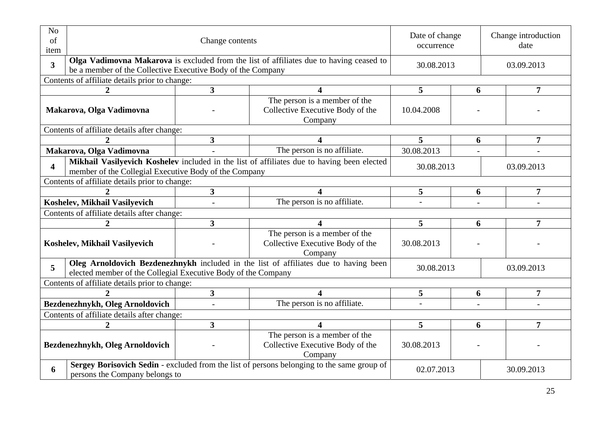| N <sub>o</sub><br>of<br>item  |                                                                                                                                                          | Change contents         | Date of change<br>occurrence                                                               |                          | Change introduction<br>date |  |                |  |
|-------------------------------|----------------------------------------------------------------------------------------------------------------------------------------------------------|-------------------------|--------------------------------------------------------------------------------------------|--------------------------|-----------------------------|--|----------------|--|
| 3 <sup>1</sup>                | Olga Vadimovna Makarova is excluded from the list of affiliates due to having ceased to<br>be a member of the Collective Executive Body of the Company   |                         |                                                                                            | 30.08.2013               |                             |  | 03.09.2013     |  |
|                               | Contents of affiliate details prior to change:                                                                                                           |                         |                                                                                            |                          |                             |  |                |  |
|                               | $\overline{2}$                                                                                                                                           | $\overline{\mathbf{3}}$ | $\overline{\mathbf{4}}$                                                                    | 5                        | 6                           |  | 7              |  |
| Makarova, Olga Vadimovna      |                                                                                                                                                          |                         | The person is a member of the<br>Collective Executive Body of the<br>Company               | 10.04.2008               |                             |  |                |  |
|                               | Contents of affiliate details after change:                                                                                                              |                         |                                                                                            |                          |                             |  |                |  |
|                               | $\mathcal{D}$                                                                                                                                            | $\overline{\mathbf{3}}$ | $\overline{\mathbf{4}}$                                                                    | 5                        | 6                           |  | 7              |  |
|                               | Makarova, Olga Vadimovna                                                                                                                                 |                         | The person is no affiliate.                                                                | 30.08.2013               |                             |  |                |  |
| $\overline{\mathbf{4}}$       | member of the Collegial Executive Body of the Company                                                                                                    |                         | Mikhail Vasilyevich Koshelev included in the list of affiliates due to having been elected | 30.08.2013<br>03.09.2013 |                             |  |                |  |
|                               | Contents of affiliate details prior to change:                                                                                                           |                         |                                                                                            |                          |                             |  |                |  |
|                               |                                                                                                                                                          | 3 <sup>1</sup>          |                                                                                            | 5                        | 6                           |  | 7              |  |
|                               | Koshelev, Mikhail Vasilyevich                                                                                                                            |                         | The person is no affiliate.                                                                |                          |                             |  |                |  |
|                               | Contents of affiliate details after change:                                                                                                              |                         |                                                                                            |                          |                             |  |                |  |
|                               | $\boldsymbol{2}$                                                                                                                                         | $\mathbf{3}$            | $\overline{\mathbf{4}}$                                                                    | 5                        | 6                           |  | 7              |  |
| Koshelev, Mikhail Vasilyevich |                                                                                                                                                          |                         | The person is a member of the<br>Collective Executive Body of the<br>Company               | 30.08.2013               |                             |  |                |  |
| 5                             | elected member of the Collegial Executive Body of the Company                                                                                            |                         | Oleg Arnoldovich Bezdenezhnykh included in the list of affiliates due to having been       | 30.08.2013<br>03.09.2013 |                             |  |                |  |
|                               | Contents of affiliate details prior to change:                                                                                                           |                         |                                                                                            |                          |                             |  |                |  |
|                               | $\mathcal{D}_{\mathcal{L}}$                                                                                                                              | $\overline{\mathbf{3}}$ | $\Delta$                                                                                   | 5                        | 6                           |  | $\overline{7}$ |  |
|                               | Bezdenezhnykh, Oleg Arnoldovich                                                                                                                          |                         | The person is no affiliate.                                                                |                          |                             |  |                |  |
|                               | Contents of affiliate details after change:                                                                                                              |                         |                                                                                            |                          |                             |  |                |  |
|                               | $\overline{2}$                                                                                                                                           | $\overline{\mathbf{3}}$ |                                                                                            | 5                        | 6                           |  | 7              |  |
|                               | Bezdenezhnykh, Oleg Arnoldovich                                                                                                                          |                         | The person is a member of the<br>Collective Executive Body of the<br>Company               | 30.08.2013               |                             |  |                |  |
| 6                             | Sergey Borisovich Sedin - excluded from the list of persons belonging to the same group of<br>02.07.2013<br>30.09.2013<br>persons the Company belongs to |                         |                                                                                            |                          |                             |  |                |  |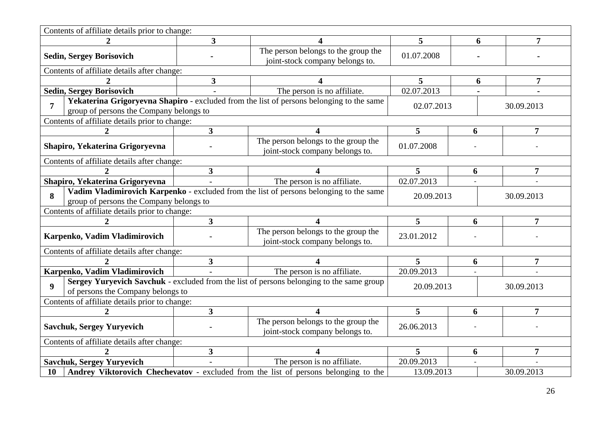| Contents of affiliate details prior to change:   |                         |                                                                                          |                 |   |                |
|--------------------------------------------------|-------------------------|------------------------------------------------------------------------------------------|-----------------|---|----------------|
| $\mathbf{2}$                                     | $\overline{\mathbf{3}}$ |                                                                                          | 5               | 6 | 7              |
| <b>Sedin, Sergey Borisovich</b>                  |                         | The person belongs to the group the<br>joint-stock company belongs to.                   | 01.07.2008      |   |                |
| Contents of affiliate details after change:      |                         |                                                                                          |                 |   |                |
|                                                  | $\mathbf{3}$            |                                                                                          | 5               | 6 | 7              |
| <b>Sedin, Sergey Borisovich</b>                  |                         | The person is no affiliate.                                                              | 02.07.2013      |   |                |
| 7<br>group of persons the Company belongs to     |                         | Yekaterina Grigoryevna Shapiro - excluded from the list of persons belonging to the same | 02.07.2013      |   | 30.09.2013     |
| Contents of affiliate details prior to change:   |                         |                                                                                          |                 |   |                |
| $\mathbf{2}$                                     | $\overline{\mathbf{3}}$ | 4                                                                                        | 5               | 6 | $\overline{7}$ |
| Shapiro, Yekaterina Grigoryevna                  |                         | The person belongs to the group the<br>joint-stock company belongs to.                   | 01.07.2008      |   |                |
| Contents of affiliate details after change:      |                         |                                                                                          |                 |   |                |
|                                                  | 3 <sup>1</sup>          |                                                                                          | $5\overline{)}$ | 6 | $\overline{7}$ |
| Shapiro, Yekaterina Grigoryevna                  |                         | The person is no affiliate.                                                              | 02.07.2013      |   |                |
| 8<br>group of persons the Company belongs to     |                         | Vadim Vladimirovich Karpenko - excluded from the list of persons belonging to the same   | 20.09.2013      |   | 30.09.2013     |
| Contents of affiliate details prior to change:   |                         |                                                                                          |                 |   |                |
| $\mathbf{2}$                                     | $\overline{\mathbf{3}}$ | 4                                                                                        | 5               | 6 | $\overline{7}$ |
| Karpenko, Vadim Vladimirovich                    |                         | The person belongs to the group the<br>joint-stock company belongs to.                   | 23.01.2012      |   |                |
| Contents of affiliate details after change:      |                         |                                                                                          |                 |   |                |
|                                                  | 3 <sup>1</sup>          |                                                                                          | 5               | 6 | $\overline{7}$ |
| Karpenko, Vadim Vladimirovich                    |                         | The person is no affiliate.                                                              | 20.09.2013      |   |                |
| $\mathbf Q$<br>of persons the Company belongs to |                         | Sergey Yuryevich Savchuk - excluded from the list of persons belonging to the same group | 20.09.2013      |   | 30.09.2013     |
| Contents of affiliate details prior to change:   |                         |                                                                                          |                 |   |                |
|                                                  | $\overline{\mathbf{3}}$ |                                                                                          | 5               | 6 | $\overline{7}$ |
| <b>Savchuk, Sergey Yuryevich</b>                 |                         | The person belongs to the group the<br>joint-stock company belongs to.                   | 26.06.2013      |   |                |
| Contents of affiliate details after change:      |                         |                                                                                          |                 |   |                |
|                                                  | $\overline{\mathbf{3}}$ |                                                                                          | 5               | 6 | $\overline{7}$ |
| <b>Savchuk, Sergey Yuryevich</b>                 |                         | The person is no affiliate.                                                              | 20.09.2013      |   |                |
| <b>10</b>                                        |                         | Andrey Viktorovich Chechevatov - excluded from the list of persons belonging to the      | 13.09.2013      |   | 30.09.2013     |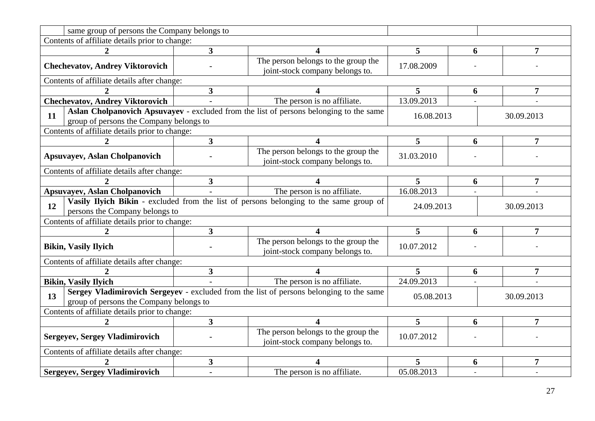| same group of persons the Company belongs to                                                                                                                         |                                                                                                                                                               |                                                                        |            |   |                |  |  |  |
|----------------------------------------------------------------------------------------------------------------------------------------------------------------------|---------------------------------------------------------------------------------------------------------------------------------------------------------------|------------------------------------------------------------------------|------------|---|----------------|--|--|--|
| Contents of affiliate details prior to change:                                                                                                                       |                                                                                                                                                               |                                                                        |            |   |                |  |  |  |
|                                                                                                                                                                      | $\overline{3}$                                                                                                                                                |                                                                        | 5          | 6 | 7              |  |  |  |
| <b>Chechevatov, Andrey Viktorovich</b>                                                                                                                               |                                                                                                                                                               | The person belongs to the group the<br>joint-stock company belongs to. | 17.08.2009 |   |                |  |  |  |
| Contents of affiliate details after change:                                                                                                                          |                                                                                                                                                               |                                                                        |            |   |                |  |  |  |
|                                                                                                                                                                      | 3                                                                                                                                                             |                                                                        | 5          | 6 | 7              |  |  |  |
| <b>Chechevatov, Andrey Viktorovich</b>                                                                                                                               |                                                                                                                                                               | The person is no affiliate.                                            | 13.09.2013 |   |                |  |  |  |
| 11                                                                                                                                                                   | Aslan Cholpanovich Apsuvayev - excluded from the list of persons belonging to the same<br>16.08.2013<br>30.09.2013<br>group of persons the Company belongs to |                                                                        |            |   |                |  |  |  |
| Contents of affiliate details prior to change:                                                                                                                       |                                                                                                                                                               |                                                                        |            |   |                |  |  |  |
|                                                                                                                                                                      | $\overline{\mathbf{3}}$                                                                                                                                       | 4                                                                      | 5          | 6 | $\overline{7}$ |  |  |  |
| <b>Apsuvayev, Aslan Cholpanovich</b>                                                                                                                                 |                                                                                                                                                               | The person belongs to the group the<br>joint-stock company belongs to. | 31.03.2010 |   |                |  |  |  |
| Contents of affiliate details after change:                                                                                                                          |                                                                                                                                                               |                                                                        |            |   |                |  |  |  |
|                                                                                                                                                                      | $\overline{\mathbf{3}}$                                                                                                                                       |                                                                        | 5          | 6 | 7              |  |  |  |
| <b>Apsuvayev, Aslan Cholpanovich</b>                                                                                                                                 |                                                                                                                                                               | The person is no affiliate.                                            | 16.08.2013 |   |                |  |  |  |
| Vasily Ilyich Bikin - excluded from the list of persons belonging to the same group of<br>12<br>persons the Company belongs to                                       |                                                                                                                                                               |                                                                        | 24.09.2013 |   | 30.09.2013     |  |  |  |
| Contents of affiliate details prior to change:                                                                                                                       |                                                                                                                                                               |                                                                        |            |   |                |  |  |  |
|                                                                                                                                                                      | $\overline{\mathbf{3}}$                                                                                                                                       | 4                                                                      | 5          | 6 | 7              |  |  |  |
| <b>Bikin, Vasily Ilyich</b>                                                                                                                                          |                                                                                                                                                               | The person belongs to the group the<br>joint-stock company belongs to. | 10.07.2012 |   |                |  |  |  |
| Contents of affiliate details after change:                                                                                                                          |                                                                                                                                                               |                                                                        |            |   |                |  |  |  |
|                                                                                                                                                                      | 3                                                                                                                                                             | 4                                                                      | 5          | 6 | $\overline{7}$ |  |  |  |
| <b>Bikin, Vasily Ilyich</b>                                                                                                                                          |                                                                                                                                                               | The person is no affiliate.                                            | 24.09.2013 |   |                |  |  |  |
| Sergey Vladimirovich Sergeyev - excluded from the list of persons belonging to the same<br>13<br>05.08.2013<br>30.09.2013<br>group of persons the Company belongs to |                                                                                                                                                               |                                                                        |            |   |                |  |  |  |
| Contents of affiliate details prior to change:                                                                                                                       |                                                                                                                                                               |                                                                        |            |   |                |  |  |  |
|                                                                                                                                                                      | $\overline{\mathbf{3}}$                                                                                                                                       |                                                                        | 5          | 6 | 7              |  |  |  |
| <b>Sergeyev, Sergey Vladimirovich</b>                                                                                                                                |                                                                                                                                                               | The person belongs to the group the<br>joint-stock company belongs to. | 10.07.2012 |   |                |  |  |  |
| Contents of affiliate details after change:                                                                                                                          |                                                                                                                                                               |                                                                        |            |   |                |  |  |  |
|                                                                                                                                                                      | $\overline{\mathbf{3}}$                                                                                                                                       |                                                                        | 5          | 6 | 7              |  |  |  |
| <b>Sergeyev, Sergey Vladimirovich</b>                                                                                                                                |                                                                                                                                                               | The person is no affiliate.                                            | 05.08.2013 |   |                |  |  |  |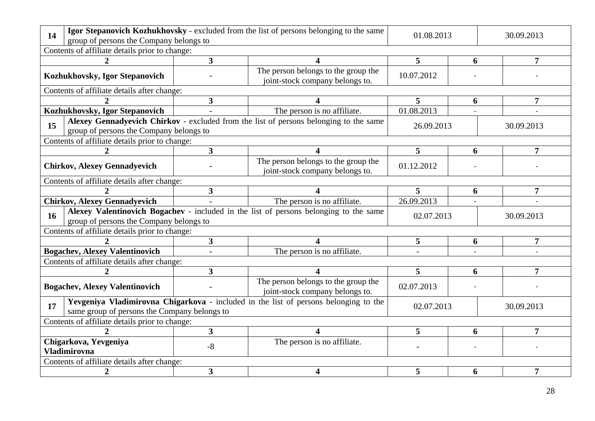| Igor Stepanovich Kozhukhovsky - excluded from the list of persons belonging to the same<br>14<br>group of persons the Company belongs to                           | 01.08.2013                                  |                                                                                       | 30.09.2013 |   |                |  |  |  |
|--------------------------------------------------------------------------------------------------------------------------------------------------------------------|---------------------------------------------|---------------------------------------------------------------------------------------|------------|---|----------------|--|--|--|
| Contents of affiliate details prior to change:                                                                                                                     |                                             |                                                                                       |            |   |                |  |  |  |
|                                                                                                                                                                    | $\overline{\mathbf{3}}$                     |                                                                                       | 5          | 6 | 7              |  |  |  |
| Kozhukhovsky, Igor Stepanovich                                                                                                                                     |                                             | The person belongs to the group the<br>joint-stock company belongs to.                | 10.07.2012 |   |                |  |  |  |
| Contents of affiliate details after change:                                                                                                                        |                                             |                                                                                       |            |   |                |  |  |  |
|                                                                                                                                                                    | $\mathbf{3}$                                |                                                                                       | 5          | 6 | 7              |  |  |  |
| Kozhukhovsky, Igor Stepanovich                                                                                                                                     |                                             | The person is no affiliate.                                                           | 01.08.2013 |   |                |  |  |  |
| Alexey Gennadyevich Chirkov - excluded from the list of persons belonging to the same<br>15<br>26.09.2013<br>30.09.2013<br>group of persons the Company belongs to |                                             |                                                                                       |            |   |                |  |  |  |
| Contents of affiliate details prior to change:                                                                                                                     |                                             |                                                                                       |            |   |                |  |  |  |
|                                                                                                                                                                    | $\overline{\mathbf{3}}$                     | 4                                                                                     | 5          | 6 | 7              |  |  |  |
| <b>Chirkov, Alexey Gennadyevich</b>                                                                                                                                |                                             | The person belongs to the group the<br>joint-stock company belongs to.                | 01.12.2012 |   |                |  |  |  |
|                                                                                                                                                                    | Contents of affiliate details after change: |                                                                                       |            |   |                |  |  |  |
|                                                                                                                                                                    | $\mathbf{3}$                                |                                                                                       | 5          | 6 | 7              |  |  |  |
|                                                                                                                                                                    |                                             |                                                                                       |            |   |                |  |  |  |
| <b>Chirkov, Alexey Gennadyevich</b>                                                                                                                                |                                             | The person is no affiliate.                                                           | 26.09.2013 |   |                |  |  |  |
| 16                                                                                                                                                                 |                                             | Alexey Valentinovich Bogachev - included in the list of persons belonging to the same | 02.07.2013 |   | 30.09.2013     |  |  |  |
| group of persons the Company belongs to                                                                                                                            |                                             |                                                                                       |            |   |                |  |  |  |
| Contents of affiliate details prior to change:                                                                                                                     | 3 <sup>1</sup>                              | 4                                                                                     | 5          | 6 | $\overline{7}$ |  |  |  |
| <b>Bogachev, Alexey Valentinovich</b>                                                                                                                              |                                             | The person is no affiliate.                                                           |            |   |                |  |  |  |
| Contents of affiliate details after change:                                                                                                                        |                                             |                                                                                       |            |   |                |  |  |  |
| 2                                                                                                                                                                  | $\overline{\mathbf{3}}$                     | 4                                                                                     | 5          | 6 | 7              |  |  |  |
| <b>Bogachev, Alexey Valentinovich</b>                                                                                                                              |                                             | The person belongs to the group the<br>joint-stock company belongs to.                | 02.07.2013 |   |                |  |  |  |
| 17                                                                                                                                                                 |                                             | Yevgeniya Vladimirovna Chigarkova - included in the list of persons belonging to the  | 02.07.2013 |   | 30.09.2013     |  |  |  |
| same group of persons the Company belongs to<br>Contents of affiliate details prior to change:                                                                     |                                             |                                                                                       |            |   |                |  |  |  |
|                                                                                                                                                                    | $\overline{\mathbf{3}}$                     | 4                                                                                     | 5          | 6 | 7              |  |  |  |
| Chigarkova, Yevgeniya                                                                                                                                              |                                             | The person is no affiliate.                                                           |            |   |                |  |  |  |
| Vladimirovna                                                                                                                                                       | $-8$                                        |                                                                                       |            |   |                |  |  |  |
| Contents of affiliate details after change:                                                                                                                        |                                             |                                                                                       |            |   |                |  |  |  |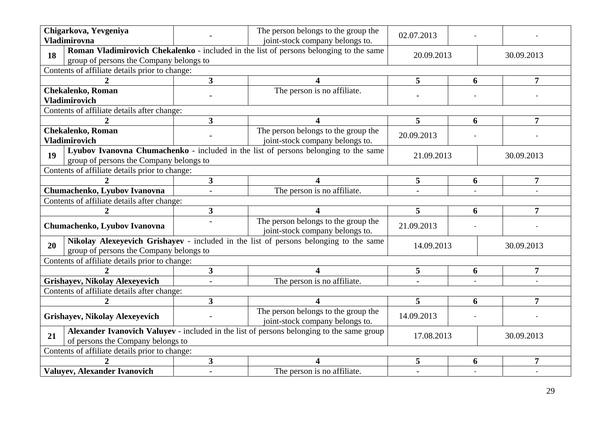|                                                                                                                                      | Chigarkova, Yevgeniya<br><b>Vladimirovna</b>     |                         | The person belongs to the group the<br>joint-stock company belongs to.                    | 02.07.2013 |   |                |  |  |  |
|--------------------------------------------------------------------------------------------------------------------------------------|--------------------------------------------------|-------------------------|-------------------------------------------------------------------------------------------|------------|---|----------------|--|--|--|
| 18                                                                                                                                   | group of persons the Company belongs to          |                         | Roman Vladimirovich Chekalenko - included in the list of persons belonging to the same    | 20.09.2013 |   | 30.09.2013     |  |  |  |
|                                                                                                                                      | Contents of affiliate details prior to change:   |                         |                                                                                           |            |   |                |  |  |  |
|                                                                                                                                      | $\mathcal{D}_{\cdot}$                            | $\overline{\mathbf{3}}$ | 4                                                                                         | 5          | 6 | $\overline{7}$ |  |  |  |
|                                                                                                                                      | <b>Chekalenko, Roman</b>                         |                         | The person is no affiliate.                                                               |            |   |                |  |  |  |
|                                                                                                                                      | <b>Vladimirovich</b>                             |                         |                                                                                           |            |   |                |  |  |  |
|                                                                                                                                      | Contents of affiliate details after change:      |                         |                                                                                           |            |   |                |  |  |  |
|                                                                                                                                      | $\mathbf{2}$                                     | $\overline{\mathbf{3}}$ | 4                                                                                         | 5          | 6 | 7              |  |  |  |
|                                                                                                                                      | <b>Chekalenko, Roman</b><br><b>Vladimirovich</b> |                         | The person belongs to the group the<br>joint-stock company belongs to.                    | 20.09.2013 |   |                |  |  |  |
| Lyubov Ivanovna Chumachenko - included in the list of persons belonging to the same<br>19<br>group of persons the Company belongs to |                                                  |                         |                                                                                           | 21.09.2013 |   | 30.09.2013     |  |  |  |
|                                                                                                                                      | Contents of affiliate details prior to change:   |                         |                                                                                           |            |   |                |  |  |  |
|                                                                                                                                      |                                                  | $\overline{\mathbf{3}}$ |                                                                                           | 5          | 6 | $\overline{7}$ |  |  |  |
|                                                                                                                                      | Chumachenko, Lyubov Ivanovna<br>$\blacksquare$   |                         | The person is no affiliate.                                                               |            |   |                |  |  |  |
|                                                                                                                                      | Contents of affiliate details after change:      |                         |                                                                                           |            |   |                |  |  |  |
|                                                                                                                                      | 2                                                | $\overline{\mathbf{3}}$ | 4                                                                                         | 5          | 6 | 7              |  |  |  |
|                                                                                                                                      | Chumachenko, Lyubov Ivanovna                     |                         | The person belongs to the group the<br>joint-stock company belongs to.                    | 21.09.2013 |   |                |  |  |  |
| 20                                                                                                                                   | group of persons the Company belongs to          |                         | Nikolay Alexeyevich Grishayev - included in the list of persons belonging to the same     | 14.09.2013 |   | 30.09.2013     |  |  |  |
|                                                                                                                                      | Contents of affiliate details prior to change:   |                         |                                                                                           |            |   |                |  |  |  |
|                                                                                                                                      |                                                  | $\mathbf{3}$            |                                                                                           | 5          | 6 | $\overline{7}$ |  |  |  |
|                                                                                                                                      | Grishayev, Nikolay Alexeyevich                   | $\overline{a}$          | The person is no affiliate.                                                               |            |   |                |  |  |  |
|                                                                                                                                      | Contents of affiliate details after change:      |                         |                                                                                           |            |   |                |  |  |  |
|                                                                                                                                      | $\mathbf{2}$                                     | $\overline{3}$          | $\blacktriangle$                                                                          | 5          | 6 | 7              |  |  |  |
|                                                                                                                                      | <b>Grishayev, Nikolay Alexeyevich</b>            |                         | The person belongs to the group the<br>joint-stock company belongs to.                    | 14.09.2013 |   |                |  |  |  |
| 21                                                                                                                                   | of persons the Company belongs to                |                         | Alexander Ivanovich Valuyev - included in the list of persons belonging to the same group | 17.08.2013 |   | 30.09.2013     |  |  |  |
|                                                                                                                                      | Contents of affiliate details prior to change:   |                         |                                                                                           |            |   |                |  |  |  |
|                                                                                                                                      |                                                  | $\mathbf{3}$            |                                                                                           | 5          | 6 |                |  |  |  |
|                                                                                                                                      | <b>Valuyev, Alexander Ivanovich</b>              | $\overline{a}$          | The person is no affiliate.                                                               |            |   |                |  |  |  |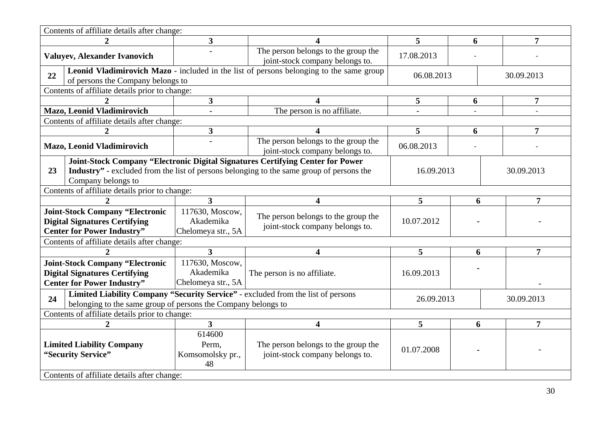|                                                                                                                                                         | Contents of affiliate details after change:                                                                         |                                                    |                                                                                                                                                                                    |            |            |                |  |  |
|---------------------------------------------------------------------------------------------------------------------------------------------------------|---------------------------------------------------------------------------------------------------------------------|----------------------------------------------------|------------------------------------------------------------------------------------------------------------------------------------------------------------------------------------|------------|------------|----------------|--|--|
|                                                                                                                                                         | $\mathcal{D}_{\mathcal{L}}$                                                                                         | 3                                                  |                                                                                                                                                                                    | 5          | 6          | 7              |  |  |
|                                                                                                                                                         | Valuyev, Alexander Ivanovich                                                                                        |                                                    | The person belongs to the group the<br>joint-stock company belongs to.                                                                                                             | 17.08.2013 |            |                |  |  |
| 22<br>of persons the Company belongs to                                                                                                                 |                                                                                                                     |                                                    | Leonid Vladimirovich Mazo - included in the list of persons belonging to the same group                                                                                            | 06.08.2013 |            | 30.09.2013     |  |  |
|                                                                                                                                                         | Contents of affiliate details prior to change:                                                                      |                                                    |                                                                                                                                                                                    |            |            |                |  |  |
|                                                                                                                                                         |                                                                                                                     | $\overline{\mathbf{3}}$                            | 4                                                                                                                                                                                  | 5          | 6          | 7              |  |  |
|                                                                                                                                                         | Mazo, Leonid Vladimirovich                                                                                          |                                                    | The person is no affiliate.                                                                                                                                                        |            |            |                |  |  |
|                                                                                                                                                         | Contents of affiliate details after change:                                                                         |                                                    |                                                                                                                                                                                    |            |            |                |  |  |
|                                                                                                                                                         | 2                                                                                                                   | 3                                                  | 4                                                                                                                                                                                  | 5          | 6          | 7              |  |  |
|                                                                                                                                                         | Mazo, Leonid Vladimirovich                                                                                          |                                                    | The person belongs to the group the<br>joint-stock company belongs to.                                                                                                             | 06.08.2013 |            |                |  |  |
| 23                                                                                                                                                      | Company belongs to                                                                                                  |                                                    | Joint-Stock Company "Electronic Digital Signatures Certifying Center for Power<br><b>Industry</b> " - excluded from the list of persons belonging to the same group of persons the | 16.09.2013 |            | 30.09.2013     |  |  |
|                                                                                                                                                         | Contents of affiliate details prior to change:                                                                      |                                                    |                                                                                                                                                                                    |            |            |                |  |  |
|                                                                                                                                                         |                                                                                                                     | $\overline{\mathbf{3}}$                            | $\overline{\mathbf{4}}$                                                                                                                                                            | 5          | 6          | $\overline{7}$ |  |  |
| <b>Joint-Stock Company "Electronic</b><br><b>Digital Signatures Certifying</b><br><b>Center for Power Industry"</b>                                     |                                                                                                                     | 117630, Moscow,<br>Akademika<br>Chelomeya str., 5A | The person belongs to the group the<br>joint-stock company belongs to.                                                                                                             | 10.07.2012 |            |                |  |  |
|                                                                                                                                                         | Contents of affiliate details after change:                                                                         |                                                    |                                                                                                                                                                                    |            |            |                |  |  |
|                                                                                                                                                         | $\overline{2}$                                                                                                      | $\overline{3}$                                     | 4                                                                                                                                                                                  | 5          | 6          | $\overline{7}$ |  |  |
|                                                                                                                                                         | <b>Joint-Stock Company "Electronic</b><br><b>Digital Signatures Certifying</b><br><b>Center for Power Industry"</b> | 117630, Moscow,<br>Akademika<br>Chelomeya str., 5A | The person is no affiliate.                                                                                                                                                        | 16.09.2013 |            |                |  |  |
| Limited Liability Company "Security Service" - excluded from the list of persons<br>24<br>belonging to the same group of persons the Company belongs to |                                                                                                                     |                                                    |                                                                                                                                                                                    |            | 26.09.2013 | 30.09.2013     |  |  |
|                                                                                                                                                         | Contents of affiliate details prior to change:                                                                      |                                                    |                                                                                                                                                                                    |            |            |                |  |  |
|                                                                                                                                                         |                                                                                                                     | $\overline{3}$                                     | $\overline{\mathbf{4}}$                                                                                                                                                            | 5          | 6          | $\overline{7}$ |  |  |
|                                                                                                                                                         | <b>Limited Liability Company</b><br>"Security Service"<br>Contents of affiliate details after change:               | 614600<br>Perm,<br>Komsomolsky pr.,<br>48          | The person belongs to the group the<br>joint-stock company belongs to.                                                                                                             | 01.07.2008 |            |                |  |  |
|                                                                                                                                                         |                                                                                                                     |                                                    |                                                                                                                                                                                    |            |            |                |  |  |